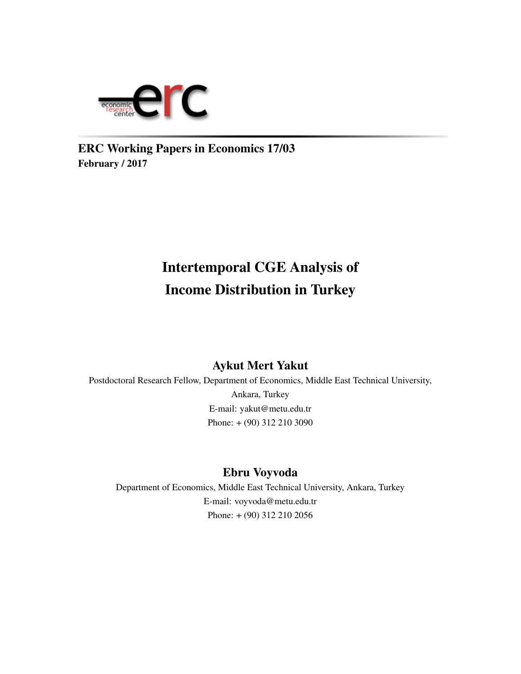

ERC Working Papers in Economics 17/03 February / 2017

# Intertemporal CGE Analysis of Income Distribution in Turkey

### Aykut Mert Yakut

Postdoctoral Research Fellow, Department of Economics, Middle East Technical University, Ankara, Turkey E-mail: yakut@metu.edu.tr Phone: + (90) 312 210 3090

### Ebru Voyvoda

Department of Economics, Middle East Technical University, Ankara, Turkey E-mail: voyvoda@metu.edu.tr Phone: + (90) 312 210 2056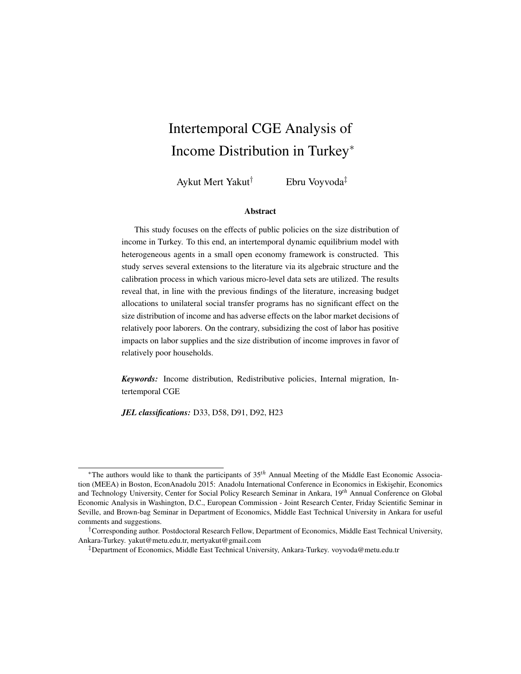# Intertemporal CGE Analysis of Income Distribution in Turkey<sup>∗</sup>

Aykut Mert Yakut† Ebru Voyvoda‡

#### Abstract

This study focuses on the effects of public policies on the size distribution of income in Turkey. To this end, an intertemporal dynamic equilibrium model with heterogeneous agents in a small open economy framework is constructed. This study serves several extensions to the literature via its algebraic structure and the calibration process in which various micro-level data sets are utilized. The results reveal that, in line with the previous findings of the literature, increasing budget allocations to unilateral social transfer programs has no significant effect on the size distribution of income and has adverse effects on the labor market decisions of relatively poor laborers. On the contrary, subsidizing the cost of labor has positive impacts on labor supplies and the size distribution of income improves in favor of relatively poor households.

*Keywords:* Income distribution, Redistributive policies, Internal migration, Intertemporal CGE

*JEL classifications:* D33, D58, D91, D92, H23

<sup>∗</sup>The authors would like to thank the participants of 35*th* Annual Meeting of the Middle East Economic Association (MEEA) in Boston, EconAnadolu 2015: Anadolu International Conference in Economics in Eskisehir, Economics and Technology University, Center for Social Policy Research Seminar in Ankara, 19*th* Annual Conference on Global Economic Analysis in Washington, D.C., European Commission - Joint Research Center, Friday Scientific Seminar in Seville, and Brown-bag Seminar in Department of Economics, Middle East Technical University in Ankara for useful comments and suggestions.

<sup>†</sup>Corresponding author. Postdoctoral Research Fellow, Department of Economics, Middle East Technical University, Ankara-Turkey. yakut@metu.edu.tr, mertyakut@gmail.com

<sup>‡</sup>Department of Economics, Middle East Technical University, Ankara-Turkey. voyvoda@metu.edu.tr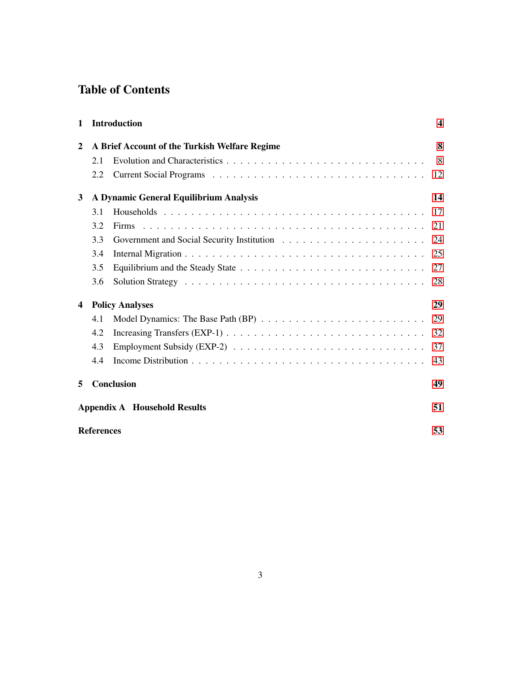### Table of Contents

| $\mathbf{1}$            |                   | <b>Introduction</b>                           | $\boldsymbol{4}$ |
|-------------------------|-------------------|-----------------------------------------------|------------------|
| $\mathbf{2}$            |                   | A Brief Account of the Turkish Welfare Regime | 8                |
|                         | 2.1               |                                               | 8                |
|                         | 2.2               |                                               | 12               |
| 3                       |                   | A Dynamic General Equilibrium Analysis        | 14               |
|                         | 3.1               |                                               | 17               |
|                         | 3.2               | <b>Firms</b>                                  | 21               |
|                         | 3.3               |                                               | 24               |
|                         | 3.4               |                                               | 25               |
|                         | 3.5               |                                               | 27               |
|                         | 3.6               |                                               | 28               |
| $\overline{\mathbf{4}}$ |                   | <b>Policy Analyses</b>                        | 29               |
|                         | 4.1               |                                               | 29               |
|                         | 4.2               |                                               | 32               |
|                         | 4.3               |                                               | 37               |
|                         | 4.4               |                                               | 43               |
| 5                       |                   | <b>Conclusion</b>                             | 49               |
|                         |                   | <b>Appendix A</b> Household Results           | 51               |
|                         | <b>References</b> |                                               | 53               |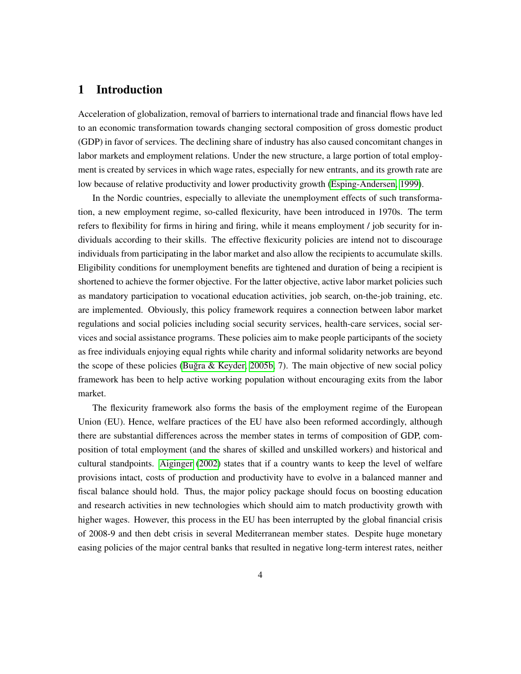### <span id="page-3-0"></span>1 Introduction

Acceleration of globalization, removal of barriers to international trade and financial flows have led to an economic transformation towards changing sectoral composition of gross domestic product (GDP) in favor of services. The declining share of industry has also caused concomitant changes in labor markets and employment relations. Under the new structure, a large portion of total employment is created by services in which wage rates, especially for new entrants, and its growth rate are low because of relative productivity and lower productivity growth [\(Esping-Andersen, 1999\)](#page-54-0).

In the Nordic countries, especially to alleviate the unemployment effects of such transformation, a new employment regime, so-called flexicurity, have been introduced in 1970s. The term refers to flexibility for firms in hiring and firing, while it means employment / job security for individuals according to their skills. The effective flexicurity policies are intend not to discourage individuals from participating in the labor market and also allow the recipients to accumulate skills. Eligibility conditions for unemployment benefits are tightened and duration of being a recipient is shortened to achieve the former objective. For the latter objective, active labor market policies such as mandatory participation to vocational education activities, job search, on-the-job training, etc. are implemented. Obviously, this policy framework requires a connection between labor market regulations and social policies including social security services, health-care services, social services and social assistance programs. These policies aim to make people participants of the society as free individuals enjoying equal rights while charity and informal solidarity networks are beyond the scope of these policies (Buğra & Keyder, 2005b, 7). The main objective of new social policy framework has been to help active working population without encouraging exits from the labor market.

The flexicurity framework also forms the basis of the employment regime of the European Union (EU). Hence, welfare practices of the EU have also been reformed accordingly, although there are substantial differences across the member states in terms of composition of GDP, composition of total employment (and the shares of skilled and unskilled workers) and historical and cultural standpoints. [Aiginger](#page-52-0) [\(2002\)](#page-52-0) states that if a country wants to keep the level of welfare provisions intact, costs of production and productivity have to evolve in a balanced manner and fiscal balance should hold. Thus, the major policy package should focus on boosting education and research activities in new technologies which should aim to match productivity growth with higher wages. However, this process in the EU has been interrupted by the global financial crisis of 2008-9 and then debt crisis in several Mediterranean member states. Despite huge monetary easing policies of the major central banks that resulted in negative long-term interest rates, neither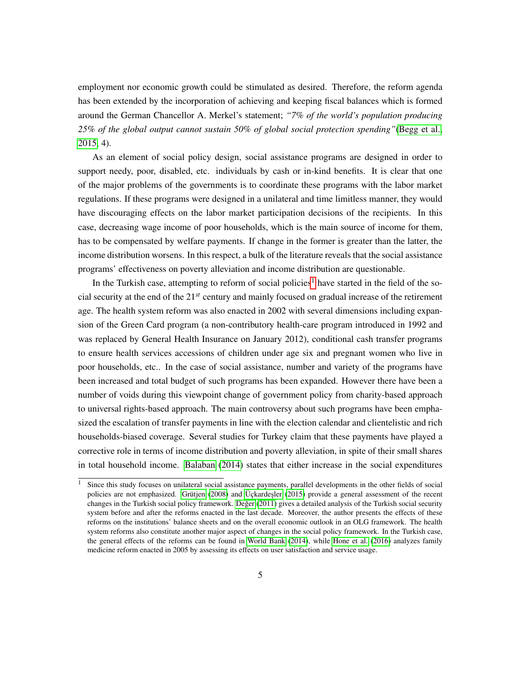employment nor economic growth could be stimulated as desired. Therefore, the reform agenda has been extended by the incorporation of achieving and keeping fiscal balances which is formed around the German Chancellor A. Merkel's statement; *"7% of the world's population producing 25% of the global output cannot sustain 50% of global social protection spending"*[\(Begg et al.,](#page-53-1) [2015,](#page-53-1) 4).

As an element of social policy design, social assistance programs are designed in order to support needy, poor, disabled, etc. individuals by cash or in-kind benefits. It is clear that one of the major problems of the governments is to coordinate these programs with the labor market regulations. If these programs were designed in a unilateral and time limitless manner, they would have discouraging effects on the labor market participation decisions of the recipients. In this case, decreasing wage income of poor households, which is the main source of income for them, has to be compensated by welfare payments. If change in the former is greater than the latter, the income distribution worsens. In this respect, a bulk of the literature reveals that the social assistance programs' effectiveness on poverty alleviation and income distribution are questionable.

In the Turkish case, attempting to reform of social policies<sup>[1](#page-4-0)</sup> have started in the field of the social security at the end of the 21*st* century and mainly focused on gradual increase of the retirement age. The health system reform was also enacted in 2002 with several dimensions including expansion of the Green Card program (a non-contributory health-care program introduced in 1992 and was replaced by General Health Insurance on January 2012), conditional cash transfer programs to ensure health services accessions of children under age six and pregnant women who live in poor households, etc.. In the case of social assistance, number and variety of the programs have been increased and total budget of such programs has been expanded. However there have been a number of voids during this viewpoint change of government policy from charity-based approach to universal rights-based approach. The main controversy about such programs have been emphasized the escalation of transfer payments in line with the election calendar and clientelistic and rich households-biased coverage. Several studies for Turkey claim that these payments have played a corrective role in terms of income distribution and poverty alleviation, in spite of their small shares in total household income. [Balaban](#page-52-1) [\(2014\)](#page-52-1) states that either increase in the social expenditures

<span id="page-4-0"></span><sup>&</sup>lt;sup>1</sup> Since this study focuses on unilateral social assistance payments, parallel developments in the other fields of social policies are not emphasized. Grütjen  $(2008)$  and Üçkardesler  $(2015)$  provide a general assessment of the recent changes in the Turkish social policy framework. Değer [\(2011\)](#page-54-1) gives a detailed analysis of the Turkish social security system before and after the reforms enacted in the last decade. Moreover, the author presents the effects of these reforms on the institutions' balance sheets and on the overall economic outlook in an OLG framework. The health system reforms also constitute another major aspect of changes in the social policy framework. In the Turkish case, the general effects of the reforms can be found in [World Bank](#page-57-1) [\(2014\)](#page-57-1), while [Hone et al.](#page-55-1) [\(2016\)](#page-55-1) analyzes family medicine reform enacted in 2005 by assessing its effects on user satisfaction and service usage.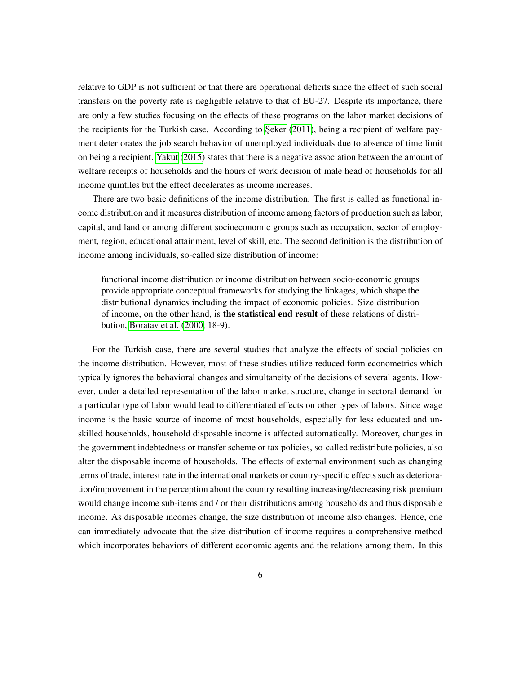relative to GDP is not sufficient or that there are operational deficits since the effect of such social transfers on the poverty rate is negligible relative to that of EU-27. Despite its importance, there are only a few studies focusing on the effects of these programs on the labor market decisions of the recipients for the Turkish case. According to Şeker [\(2011\)](#page-56-0), being a recipient of welfare payment deteriorates the job search behavior of unemployed individuals due to absence of time limit on being a recipient. [Yakut](#page-57-2) [\(2015\)](#page-57-2) states that there is a negative association between the amount of welfare receipts of households and the hours of work decision of male head of households for all income quintiles but the effect decelerates as income increases.

There are two basic definitions of the income distribution. The first is called as functional income distribution and it measures distribution of income among factors of production such as labor, capital, and land or among different socioeconomic groups such as occupation, sector of employment, region, educational attainment, level of skill, etc. The second definition is the distribution of income among individuals, so-called size distribution of income:

functional income distribution or income distribution between socio-economic groups provide appropriate conceptual frameworks for studying the linkages, which shape the distributional dynamics including the impact of economic policies. Size distribution of income, on the other hand, is the statistical end result of these relations of distribution, [Boratav et al.](#page-53-2) [\(2000,](#page-53-2) 18-9).

For the Turkish case, there are several studies that analyze the effects of social policies on the income distribution. However, most of these studies utilize reduced form econometrics which typically ignores the behavioral changes and simultaneity of the decisions of several agents. However, under a detailed representation of the labor market structure, change in sectoral demand for a particular type of labor would lead to differentiated effects on other types of labors. Since wage income is the basic source of income of most households, especially for less educated and unskilled households, household disposable income is affected automatically. Moreover, changes in the government indebtedness or transfer scheme or tax policies, so-called redistribute policies, also alter the disposable income of households. The effects of external environment such as changing terms of trade, interest rate in the international markets or country-specific effects such as deterioration/improvement in the perception about the country resulting increasing/decreasing risk premium would change income sub-items and / or their distributions among households and thus disposable income. As disposable incomes change, the size distribution of income also changes. Hence, one can immediately advocate that the size distribution of income requires a comprehensive method which incorporates behaviors of different economic agents and the relations among them. In this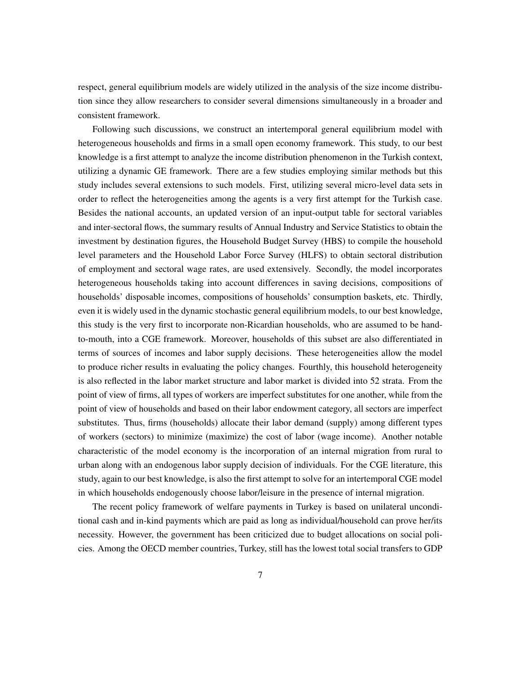respect, general equilibrium models are widely utilized in the analysis of the size income distribution since they allow researchers to consider several dimensions simultaneously in a broader and consistent framework.

Following such discussions, we construct an intertemporal general equilibrium model with heterogeneous households and firms in a small open economy framework. This study, to our best knowledge is a first attempt to analyze the income distribution phenomenon in the Turkish context, utilizing a dynamic GE framework. There are a few studies employing similar methods but this study includes several extensions to such models. First, utilizing several micro-level data sets in order to reflect the heterogeneities among the agents is a very first attempt for the Turkish case. Besides the national accounts, an updated version of an input-output table for sectoral variables and inter-sectoral flows, the summary results of Annual Industry and Service Statistics to obtain the investment by destination figures, the Household Budget Survey (HBS) to compile the household level parameters and the Household Labor Force Survey (HLFS) to obtain sectoral distribution of employment and sectoral wage rates, are used extensively. Secondly, the model incorporates heterogeneous households taking into account differences in saving decisions, compositions of households' disposable incomes, compositions of households' consumption baskets, etc. Thirdly, even it is widely used in the dynamic stochastic general equilibrium models, to our best knowledge, this study is the very first to incorporate non-Ricardian households, who are assumed to be handto-mouth, into a CGE framework. Moreover, households of this subset are also differentiated in terms of sources of incomes and labor supply decisions. These heterogeneities allow the model to produce richer results in evaluating the policy changes. Fourthly, this household heterogeneity is also reflected in the labor market structure and labor market is divided into 52 strata. From the point of view of firms, all types of workers are imperfect substitutes for one another, while from the point of view of households and based on their labor endowment category, all sectors are imperfect substitutes. Thus, firms (households) allocate their labor demand (supply) among different types of workers (sectors) to minimize (maximize) the cost of labor (wage income). Another notable characteristic of the model economy is the incorporation of an internal migration from rural to urban along with an endogenous labor supply decision of individuals. For the CGE literature, this study, again to our best knowledge, is also the first attempt to solve for an intertemporal CGE model in which households endogenously choose labor/leisure in the presence of internal migration.

The recent policy framework of welfare payments in Turkey is based on unilateral unconditional cash and in-kind payments which are paid as long as individual/household can prove her/its necessity. However, the government has been criticized due to budget allocations on social policies. Among the OECD member countries, Turkey, still has the lowest total social transfers to GDP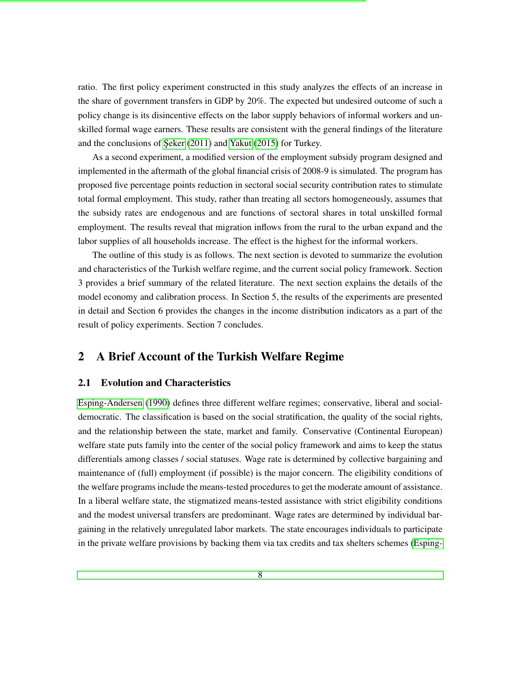ratio. The first policy experiment constructed in this study analyzes the effects of an increase in the share of government transfers in GDP by 20%. The expected but undesired outcome of such a policy change is its disincentive effects on the labor supply behaviors of informal workers and unskilled formal wage earners. These results are consistent with the general findings of the literature and the conclusions of Seker  $(2011)$  and [Yakut](#page-57-2)  $(2015)$  for Turkey.

As a second experiment, a modified version of the employment subsidy program designed and implemented in the aftermath of the global financial crisis of 2008-9 is simulated. The program has proposed five percentage points reduction in sectoral social security contribution rates to stimulate total formal employment. This study, rather than treating all sectors homogeneously, assumes that the subsidy rates are endogenous and are functions of sectoral shares in total unskilled formal employment. The results reveal that migration inflows from the rural to the urban expand and the labor supplies of all households increase. The effect is the highest for the informal workers.

The outline of this study is as follows. The next section is devoted to summarize the evolution and characteristics of the Turkish welfare regime, and the current social policy framework. Section 3 provides a brief summary of the related literature. The next section explains the details of the model economy and calibration process. In Section 5, the results of the experiments are presented in detail and Section 6 provides the changes in the income distribution indicators as a part of the result of policy experiments. Section 7 concludes.

### <span id="page-7-0"></span>2 A Brief Account of the Turkish Welfare Regime

#### <span id="page-7-1"></span>2.1 Evolution and Characteristics

[Esping-Andersen](#page-54-2) [\(1990\)](#page-54-2) defines three different welfare regimes; conservative, liberal and socialdemocratic. The classification is based on the social stratification, the quality of the social rights, and the relationship between the state, market and family. Conservative (Continental European) welfare state puts family into the center of the social policy framework and aims to keep the status differentials among classes / social statuses. Wage rate is determined by collective bargaining and maintenance of (full) employment (if possible) is the major concern. The eligibility conditions of the welfare programs include the means-tested procedures to get the moderate amount of assistance. In a liberal welfare state, the stigmatized means-tested assistance with strict eligibility conditions and the modest universal transfers are predominant. Wage rates are determined by individual bargaining in the relatively unregulated labor markets. The state encourages individuals to participate in the private welfare provisions by backing them via tax credits and tax shelters schemes [\(Esping-](#page-54-0)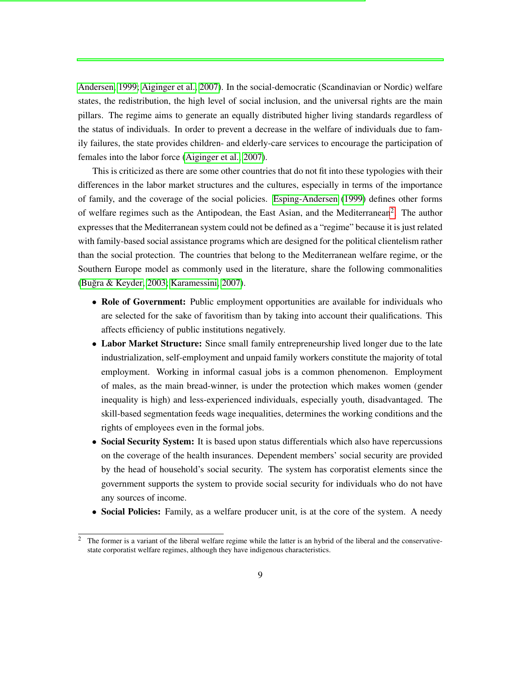[Andersen, 1999;](#page-54-0) [Aiginger et al., 2007\)](#page-52-2). In the social-democratic (Scandinavian or Nordic) welfare states, the redistribution, the high level of social inclusion, and the universal rights are the main pillars. The regime aims to generate an equally distributed higher living standards regardless of the status of individuals. In order to prevent a decrease in the welfare of individuals due to family failures, the state provides children- and elderly-care services to encourage the participation of females into the labor force [\(Aiginger et al., 2007\)](#page-52-2).

This is criticized as there are some other countries that do not fit into these typologies with their differences in the labor market structures and the cultures, especially in terms of the importance of family, and the coverage of the social policies. [Esping-Andersen](#page-54-0) [\(1999\)](#page-54-0) defines other forms of welfare regimes such as the Antipodean, the East Asian, and the Mediterranean<sup>[2](#page-8-0)</sup>. The author expresses that the Mediterranean system could not be defined as a "regime" because it is just related with family-based social assistance programs which are designed for the political clientelism rather than the social protection. The countries that belong to the Mediterranean welfare regime, or the Southern Europe model as commonly used in the literature, share the following commonalities (Buğra & Keyder, 2003; [Karamessini, 2007\)](#page-55-2).

- Role of Government: Public employment opportunities are available for individuals who are selected for the sake of favoritism than by taking into account their qualifications. This affects efficiency of public institutions negatively.
- Labor Market Structure: Since small family entrepreneurship lived longer due to the late industrialization, self-employment and unpaid family workers constitute the majority of total employment. Working in informal casual jobs is a common phenomenon. Employment of males, as the main bread-winner, is under the protection which makes women (gender inequality is high) and less-experienced individuals, especially youth, disadvantaged. The skill-based segmentation feeds wage inequalities, determines the working conditions and the rights of employees even in the formal jobs.
- Social Security System: It is based upon status differentials which also have repercussions on the coverage of the health insurances. Dependent members' social security are provided by the head of household's social security. The system has corporatist elements since the government supports the system to provide social security for individuals who do not have any sources of income.
- Social Policies: Family, as a welfare producer unit, is at the core of the system. A needy

<span id="page-8-0"></span><sup>&</sup>lt;sup>2</sup> The former is a variant of the liberal welfare regime while the latter is an hybrid of the liberal and the conservativestate corporatist welfare regimes, although they have indigenous characteristics.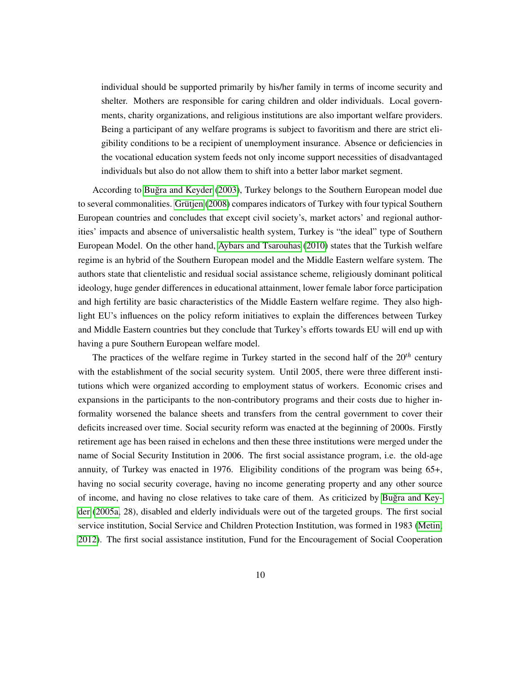individual should be supported primarily by his/her family in terms of income security and shelter. Mothers are responsible for caring children and older individuals. Local governments, charity organizations, and religious institutions are also important welfare providers. Being a participant of any welfare programs is subject to favoritism and there are strict eligibility conditions to be a recipient of unemployment insurance. Absence or deficiencies in the vocational education system feeds not only income support necessities of disadvantaged individuals but also do not allow them to shift into a better labor market segment.

According to [Bugra and Keyder](#page-53-3) [\(2003\)](#page-53-3), Turkey belongs to the Southern European model due ˘ to several commonalities. Grütjen [\(2008\)](#page-55-0) compares indicators of Turkey with four typical Southern European countries and concludes that except civil society's, market actors' and regional authorities' impacts and absence of universalistic health system, Turkey is "the ideal" type of Southern European Model. On the other hand, [Aybars and Tsarouhas](#page-52-3) [\(2010\)](#page-52-3) states that the Turkish welfare regime is an hybrid of the Southern European model and the Middle Eastern welfare system. The authors state that clientelistic and residual social assistance scheme, religiously dominant political ideology, huge gender differences in educational attainment, lower female labor force participation and high fertility are basic characteristics of the Middle Eastern welfare regime. They also highlight EU's influences on the policy reform initiatives to explain the differences between Turkey and Middle Eastern countries but they conclude that Turkey's efforts towards EU will end up with having a pure Southern European welfare model.

The practices of the welfare regime in Turkey started in the second half of the 20*th* century with the establishment of the social security system. Until 2005, there were three different institutions which were organized according to employment status of workers. Economic crises and expansions in the participants to the non-contributory programs and their costs due to higher informality worsened the balance sheets and transfers from the central government to cover their deficits increased over time. Social security reform was enacted at the beginning of 2000s. Firstly retirement age has been raised in echelons and then these three institutions were merged under the name of Social Security Institution in 2006. The first social assistance program, i.e. the old-age annuity, of Turkey was enacted in 1976. Eligibility conditions of the program was being 65+, having no social security coverage, having no income generating property and any other source of income, and having no close relatives to take care of them. As criticized by [Bugra and Key-](#page-53-4) ˘ [der](#page-53-4) [\(2005a,](#page-53-4) 28), disabled and elderly individuals were out of the targeted groups. The first social service institution, Social Service and Children Protection Institution, was formed in 1983 [\(Metin,](#page-56-1) [2012\)](#page-56-1). The first social assistance institution, Fund for the Encouragement of Social Cooperation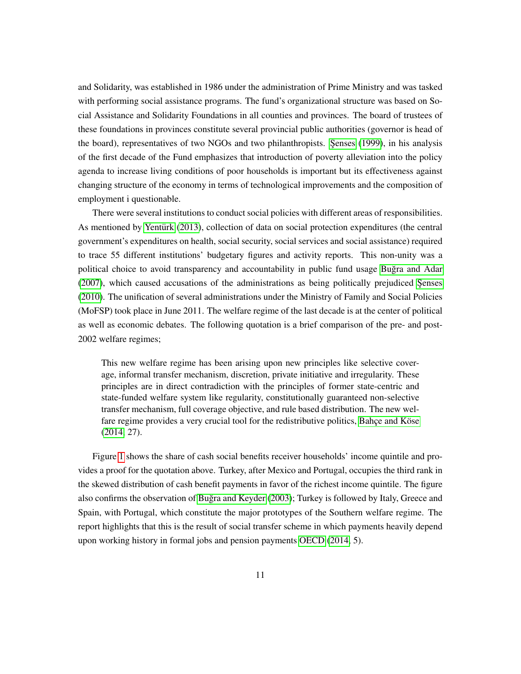and Solidarity, was established in 1986 under the administration of Prime Ministry and was tasked with performing social assistance programs. The fund's organizational structure was based on Social Assistance and Solidarity Foundations in all counties and provinces. The board of trustees of these foundations in provinces constitute several provincial public authorities (governor is head of the board), representatives of two NGOs and two philanthropists. Senses [\(1999\)](#page-56-2), in his analysis of the first decade of the Fund emphasizes that introduction of poverty alleviation into the policy agenda to increase living conditions of poor households is important but its effectiveness against changing structure of the economy in terms of technological improvements and the composition of employment i questionable.

There were several institutions to conduct social policies with different areas of responsibilities. As mentioned by [Yenturk](#page-57-3) [\(2013\)](#page-57-3), collection of data on social protection expenditures (the central government's expenditures on health, social security, social services and social assistance) required to trace 55 different institutions' budgetary figures and activity reports. This non-unity was a political choice to avoid transparency and accountability in public fund usage [Bugra and Adar](#page-53-5) ˘  $(2007)$ , which caused accusations of the administrations as being politically prejudiced Senses [\(2010\)](#page-56-3). The unification of several administrations under the Ministry of Family and Social Policies (MoFSP) took place in June 2011. The welfare regime of the last decade is at the center of political as well as economic debates. The following quotation is a brief comparison of the pre- and post-2002 welfare regimes;

This new welfare regime has been arising upon new principles like selective coverage, informal transfer mechanism, discretion, private initiative and irregularity. These principles are in direct contradiction with the principles of former state-centric and state-funded welfare system like regularity, constitutionally guaranteed non-selective transfer mechanism, full coverage objective, and rule based distribution. The new welfare regime provides a very crucial tool for the redistributive politics, Bahçe and Köse [\(2014,](#page-52-4) 27).

Figure [1](#page-11-1) shows the share of cash social benefits receiver households' income quintile and provides a proof for the quotation above. Turkey, after Mexico and Portugal, occupies the third rank in the skewed distribution of cash benefit payments in favor of the richest income quintile. The figure also confirms the observation of Buğra and Keyder [\(2003\)](#page-53-3); Turkey is followed by Italy, Greece and Spain, with Portugal, which constitute the major prototypes of the Southern welfare regime. The report highlights that this is the result of social transfer scheme in which payments heavily depend upon working history in formal jobs and pension payments [OECD](#page-56-4) [\(2014,](#page-56-4) 5).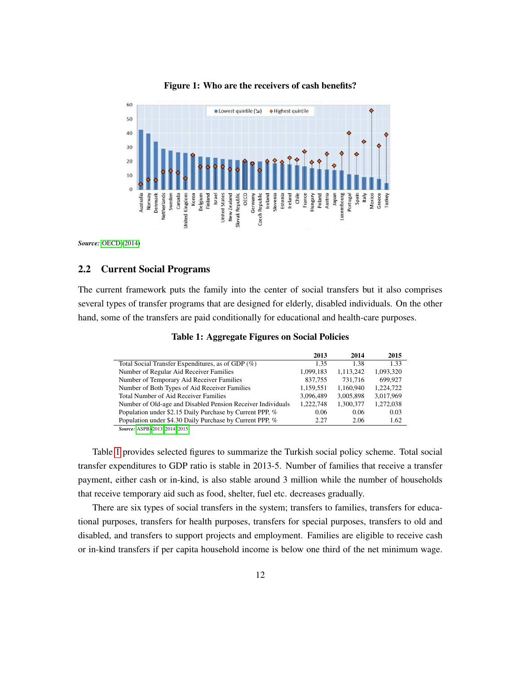<span id="page-11-1"></span>

#### Figure 1: Who are the receivers of cash benefits?

*Source:* [OECD](#page-56-4) [\(2014\)](#page-56-4)

#### <span id="page-11-0"></span>2.2 Current Social Programs

<span id="page-11-2"></span>The current framework puts the family into the center of social transfers but it also comprises several types of transfer programs that are designed for elderly, disabled individuals. On the other hand, some of the transfers are paid conditionally for educational and health-care purposes.

|                                                             | 2013      | 2014      | 2015      |
|-------------------------------------------------------------|-----------|-----------|-----------|
| Total Social Transfer Expenditures, as of GDP (%)           | 1.35      | 1.38      | 1.33      |
| Number of Regular Aid Receiver Families                     | 1,099,183 | 1.113.242 | 1,093,320 |
| Number of Temporary Aid Receiver Families                   | 837,755   | 731.716   | 699,927   |
| Number of Both Types of Aid Receiver Families               | 1,159,551 | 1,160,940 | 1,224,722 |
| Total Number of Aid Receiver Families                       | 3.096.489 | 3.005.898 | 3.017.969 |
| Number of Old-age and Disabled Pension Receiver Individuals | 1.222.748 | 1,300,377 | 1,272,038 |
| Population under \$2.15 Daily Purchase by Current PPP, %    | 0.06      | 0.06      | 0.03      |
| Population under \$4.30 Daily Purchase by Current PPP, %    | 2.27      | 2.06      | 1.62      |
|                                                             |           |           |           |

Table 1: Aggregate Figures on Social Policies

*Source:* [ASPB \(2013,](#page-52-5) [2014,](#page-52-6) [2015\)](#page-52-7)

Table [1](#page-11-2) provides selected figures to summarize the Turkish social policy scheme. Total social transfer expenditures to GDP ratio is stable in 2013-5. Number of families that receive a transfer payment, either cash or in-kind, is also stable around 3 million while the number of households that receive temporary aid such as food, shelter, fuel etc. decreases gradually.

There are six types of social transfers in the system; transfers to families, transfers for educational purposes, transfers for health purposes, transfers for special purposes, transfers to old and disabled, and transfers to support projects and employment. Families are eligible to receive cash or in-kind transfers if per capita household income is below one third of the net minimum wage.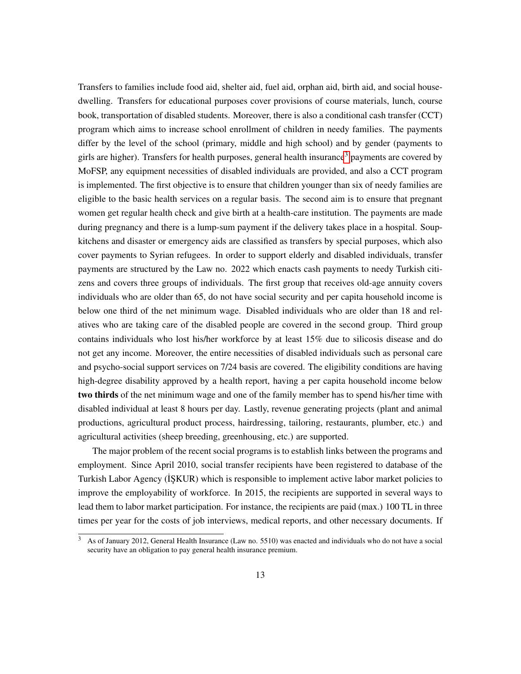Transfers to families include food aid, shelter aid, fuel aid, orphan aid, birth aid, and social housedwelling. Transfers for educational purposes cover provisions of course materials, lunch, course book, transportation of disabled students. Moreover, there is also a conditional cash transfer (CCT) program which aims to increase school enrollment of children in needy families. The payments differ by the level of the school (primary, middle and high school) and by gender (payments to girls are higher). Transfers for health purposes, general health insurance<sup>[3](#page-12-0)</sup> payments are covered by MoFSP, any equipment necessities of disabled individuals are provided, and also a CCT program is implemented. The first objective is to ensure that children younger than six of needy families are eligible to the basic health services on a regular basis. The second aim is to ensure that pregnant women get regular health check and give birth at a health-care institution. The payments are made during pregnancy and there is a lump-sum payment if the delivery takes place in a hospital. Soupkitchens and disaster or emergency aids are classified as transfers by special purposes, which also cover payments to Syrian refugees. In order to support elderly and disabled individuals, transfer payments are structured by the Law no. 2022 which enacts cash payments to needy Turkish citizens and covers three groups of individuals. The first group that receives old-age annuity covers individuals who are older than 65, do not have social security and per capita household income is below one third of the net minimum wage. Disabled individuals who are older than 18 and relatives who are taking care of the disabled people are covered in the second group. Third group contains individuals who lost his/her workforce by at least 15% due to silicosis disease and do not get any income. Moreover, the entire necessities of disabled individuals such as personal care and psycho-social support services on 7/24 basis are covered. The eligibility conditions are having high-degree disability approved by a health report, having a per capita household income below two thirds of the net minimum wage and one of the family member has to spend his/her time with disabled individual at least 8 hours per day. Lastly, revenue generating projects (plant and animal productions, agricultural product process, hairdressing, tailoring, restaurants, plumber, etc.) and agricultural activities (sheep breeding, greenhousing, etc.) are supported.

The major problem of the recent social programs is to establish links between the programs and employment. Since April 2010, social transfer recipients have been registered to database of the Turkish Labor Agency (ISKUR) which is responsible to implement active labor market policies to improve the employability of workforce. In 2015, the recipients are supported in several ways to lead them to labor market participation. For instance, the recipients are paid (max.) 100 TL in three times per year for the costs of job interviews, medical reports, and other necessary documents. If

<span id="page-12-0"></span><sup>&</sup>lt;sup>3</sup> As of January 2012, General Health Insurance (Law no. 5510) was enacted and individuals who do not have a social security have an obligation to pay general health insurance premium.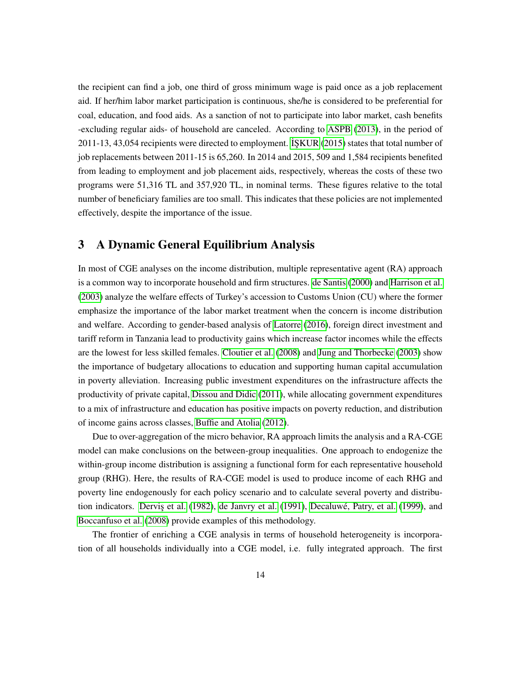the recipient can find a job, one third of gross minimum wage is paid once as a job replacement aid. If her/him labor market participation is continuous, she/he is considered to be preferential for coal, education, and food aids. As a sanction of not to participate into labor market, cash benefits -excluding regular aids- of household are canceled. According to [ASPB](#page-52-5) [\(2013\)](#page-52-5), in the period of 2011-13, 43,054 recipients were directed to employment. [˙IS¸KUR](#page-57-4) [\(2015\)](#page-57-4) states that total number of job replacements between 2011-15 is 65,260. In 2014 and 2015, 509 and 1,584 recipients benefited from leading to employment and job placement aids, respectively, whereas the costs of these two programs were 51,316 TL and 357,920 TL, in nominal terms. These figures relative to the total number of beneficiary families are too small. This indicates that these policies are not implemented effectively, despite the importance of the issue.

### <span id="page-13-0"></span>3 A Dynamic General Equilibrium Analysis

In most of CGE analyses on the income distribution, multiple representative agent (RA) approach is a common way to incorporate household and firm structures. [de Santis](#page-54-3) [\(2000\)](#page-54-3) and [Harrison et al.](#page-55-3) [\(2003\)](#page-55-3) analyze the welfare effects of Turkey's accession to Customs Union (CU) where the former emphasize the importance of the labor market treatment when the concern is income distribution and welfare. According to gender-based analysis of [Latorre](#page-56-5) [\(2016\)](#page-56-5), foreign direct investment and tariff reform in Tanzania lead to productivity gains which increase factor incomes while the effects are the lowest for less skilled females. [Cloutier et al.](#page-53-6) [\(2008\)](#page-53-6) and [Jung and Thorbecke](#page-55-4) [\(2003\)](#page-55-4) show the importance of budgetary allocations to education and supporting human capital accumulation in poverty alleviation. Increasing public investment expenditures on the infrastructure affects the productivity of private capital, [Dissou and Didic](#page-54-4) [\(2011\)](#page-54-4), while allocating government expenditures to a mix of infrastructure and education has positive impacts on poverty reduction, and distribution of income gains across classes, [Buffie and Atolia](#page-53-7) [\(2012\)](#page-53-7).

Due to over-aggregation of the micro behavior, RA approach limits the analysis and a RA-CGE model can make conclusions on the between-group inequalities. One approach to endogenize the within-group income distribution is assigning a functional form for each representative household group (RHG). Here, the results of RA-CGE model is used to produce income of each RHG and poverty line endogenously for each policy scenario and to calculate several poverty and distribu-tion indicators. Dervis et al. [\(1982\)](#page-54-5), [de Janvry et al.](#page-54-6) [\(1991\)](#page-54-6), Decaluwé, Patry, et al. [\(1999\)](#page-54-7), and [Boccanfuso et al.](#page-53-8) [\(2008\)](#page-53-8) provide examples of this methodology.

The frontier of enriching a CGE analysis in terms of household heterogeneity is incorporation of all households individually into a CGE model, i.e. fully integrated approach. The first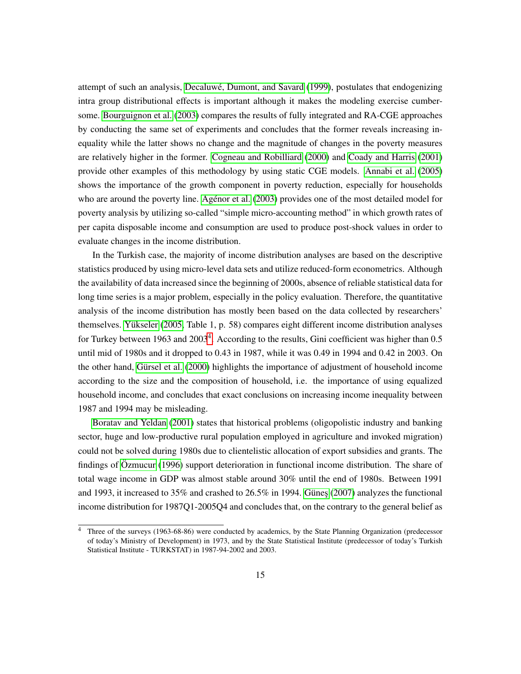attempt of such an analysis, Decaluwé, Dumont, and Savard [\(1999\)](#page-54-8), postulates that endogenizing intra group distributional effects is important although it makes the modeling exercise cumbersome. [Bourguignon et al.](#page-53-9) [\(2003\)](#page-53-9) compares the results of fully integrated and RA-CGE approaches by conducting the same set of experiments and concludes that the former reveals increasing inequality while the latter shows no change and the magnitude of changes in the poverty measures are relatively higher in the former. [Cogneau and Robilliard](#page-54-9) [\(2000\)](#page-54-9) and [Coady and Harris](#page-54-10) [\(2001\)](#page-54-10) provide other examples of this methodology by using static CGE models. [Annabi et al.](#page-52-8) [\(2005\)](#page-52-8) shows the importance of the growth component in poverty reduction, especially for households who are around the poverty line. [Agenor et al.](#page-52-9) [\(2003\)](#page-52-9) provides one of the most detailed model for poverty analysis by utilizing so-called "simple micro-accounting method" in which growth rates of per capita disposable income and consumption are used to produce post-shock values in order to evaluate changes in the income distribution.

In the Turkish case, the majority of income distribution analyses are based on the descriptive statistics produced by using micro-level data sets and utilize reduced-form econometrics. Although the availability of data increased since the beginning of 2000s, absence of reliable statistical data for long time series is a major problem, especially in the policy evaluation. Therefore, the quantitative analysis of the income distribution has mostly been based on the data collected by researchers' themselves. [Yukseler](#page-57-5) [\(2005,](#page-57-5) Table 1, p. 58) compares eight different income distribution analyses ¨ for Turkey between 1963 and 2003<sup>[4](#page-14-0)</sup>. According to the results, Gini coefficient was higher than 0.5 until mid of 1980s and it dropped to 0.43 in 1987, while it was 0.49 in 1994 and 0.42 in 2003. On the other hand, Gürsel et al. [\(2000\)](#page-55-5) highlights the importance of adjustment of household income according to the size and the composition of household, i.e. the importance of using equalized household income, and concludes that exact conclusions on increasing income inequality between 1987 and 1994 may be misleading.

[Boratav and Yeldan](#page-53-10) [\(2001\)](#page-53-10) states that historical problems (oligopolistic industry and banking sector, huge and low-productive rural population employed in agriculture and invoked migration) could not be solved during 1980s due to clientelistic allocation of export subsidies and grants. The findings of  $\ddot{O}$ zmucur [\(1996\)](#page-56-6) support deterioration in functional income distribution. The share of total wage income in GDP was almost stable around 30% until the end of 1980s. Between 1991 and 1993, it increased to 35% and crashed to 26.5% in 1994. Günes [\(2007\)](#page-55-6) analyzes the functional income distribution for 1987Q1-2005Q4 and concludes that, on the contrary to the general belief as

<span id="page-14-0"></span><sup>&</sup>lt;sup>4</sup> Three of the surveys (1963-68-86) were conducted by academics, by the State Planning Organization (predecessor of today's Ministry of Development) in 1973, and by the State Statistical Institute (predecessor of today's Turkish Statistical Institute - TURKSTAT) in 1987-94-2002 and 2003.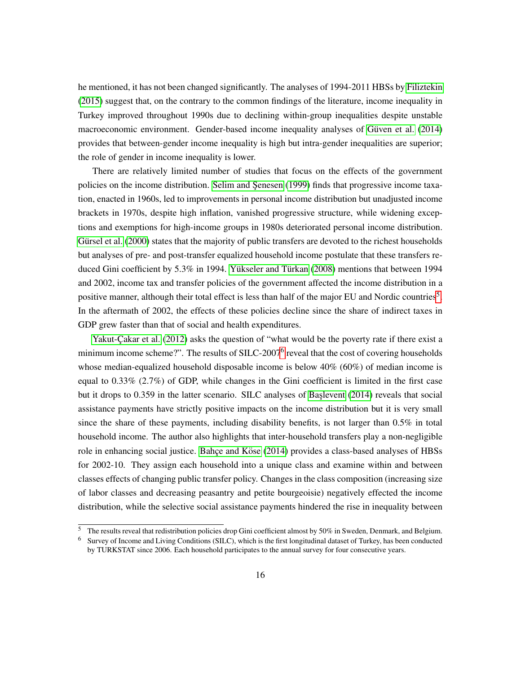he mentioned, it has not been changed significantly. The analyses of 1994-2011 HBSs by [Filiztekin](#page-54-11) [\(2015\)](#page-54-11) suggest that, on the contrary to the common findings of the literature, income inequality in Turkey improved throughout 1990s due to declining within-group inequalities despite unstable macroeconomic environment. Gender-based income inequality analyses of Güven et al. [\(2014\)](#page-55-7) provides that between-gender income inequality is high but intra-gender inequalities are superior; the role of gender in income inequality is lower.

There are relatively limited number of studies that focus on the effects of the government policies on the income distribution. Selim and Şenesen [\(1999\)](#page-56-7) finds that progressive income taxation, enacted in 1960s, led to improvements in personal income distribution but unadjusted income brackets in 1970s, despite high inflation, vanished progressive structure, while widening exceptions and exemptions for high-income groups in 1980s deteriorated personal income distribution. Gürsel et al. [\(2000\)](#page-55-5) states that the majority of public transfers are devoted to the richest households but analyses of pre- and post-transfer equalized household income postulate that these transfers reduced Gini coefficient by  $5.3\%$  in 1994. Yükseler and Türkan [\(2008\)](#page-57-6) mentions that between 1994 and 2002, income tax and transfer policies of the government affected the income distribution in a positive manner, although their total effect is less than half of the major EU and Nordic countries<sup>[5](#page-15-0)</sup>. In the aftermath of 2002, the effects of these policies decline since the share of indirect taxes in GDP grew faster than that of social and health expenditures.

Yakut-Cakar et al. [\(2012\)](#page-57-7) asks the question of "what would be the poverty rate if there exist a minimum income scheme?". The results of SILC-2007<sup>[6](#page-15-1)</sup> reveal that the cost of covering households whose median-equalized household disposable income is below  $40\%$  (60%) of median income is equal to 0.33% (2.7%) of GDP, while changes in the Gini coefficient is limited in the first case but it drops to 0.359 in the latter scenario. SILC analyses of Baslevent [\(2014\)](#page-52-10) reveals that social assistance payments have strictly positive impacts on the income distribution but it is very small since the share of these payments, including disability benefits, is not larger than 0.5% in total household income. The author also highlights that inter-household transfers play a non-negligible role in enhancing social justice. Bahce and Köse [\(2014\)](#page-52-4) provides a class-based analyses of HBSs for 2002-10. They assign each household into a unique class and examine within and between classes effects of changing public transfer policy. Changes in the class composition (increasing size of labor classes and decreasing peasantry and petite bourgeoisie) negatively effected the income distribution, while the selective social assistance payments hindered the rise in inequality between

<span id="page-15-0"></span> $\frac{5}{10}$  The results reveal that redistribution policies drop Gini coefficient almost by 50% in Sweden, Denmark, and Belgium.

<span id="page-15-1"></span> $<sup>6</sup>$  Survey of Income and Living Conditions (SILC), which is the first longitudinal dataset of Turkey, has been conducted</sup> by TURKSTAT since 2006. Each household participates to the annual survey for four consecutive years.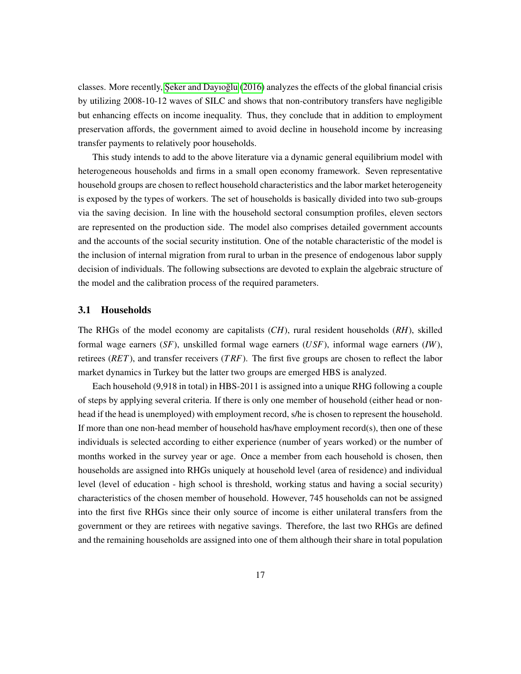classes. More recently, Seker and Dayıoğlu  $(2016)$  analyzes the effects of the global financial crisis by utilizing 2008-10-12 waves of SILC and shows that non-contributory transfers have negligible but enhancing effects on income inequality. Thus, they conclude that in addition to employment preservation affords, the government aimed to avoid decline in household income by increasing transfer payments to relatively poor households.

This study intends to add to the above literature via a dynamic general equilibrium model with heterogeneous households and firms in a small open economy framework. Seven representative household groups are chosen to reflect household characteristics and the labor market heterogeneity is exposed by the types of workers. The set of households is basically divided into two sub-groups via the saving decision. In line with the household sectoral consumption profiles, eleven sectors are represented on the production side. The model also comprises detailed government accounts and the accounts of the social security institution. One of the notable characteristic of the model is the inclusion of internal migration from rural to urban in the presence of endogenous labor supply decision of individuals. The following subsections are devoted to explain the algebraic structure of the model and the calibration process of the required parameters.

#### <span id="page-16-0"></span>3.1 Households

The RHGs of the model economy are capitalists (*CH*), rural resident households (*RH*), skilled formal wage earners (*SF*), unskilled formal wage earners (*USF*), informal wage earners (*IW*), retirees (*RET*), and transfer receivers (*T RF*). The first five groups are chosen to reflect the labor market dynamics in Turkey but the latter two groups are emerged HBS is analyzed.

Each household (9,918 in total) in HBS-2011 is assigned into a unique RHG following a couple of steps by applying several criteria. If there is only one member of household (either head or nonhead if the head is unemployed) with employment record, s/he is chosen to represent the household. If more than one non-head member of household has/have employment record(s), then one of these individuals is selected according to either experience (number of years worked) or the number of months worked in the survey year or age. Once a member from each household is chosen, then households are assigned into RHGs uniquely at household level (area of residence) and individual level (level of education - high school is threshold, working status and having a social security) characteristics of the chosen member of household. However, 745 households can not be assigned into the first five RHGs since their only source of income is either unilateral transfers from the government or they are retirees with negative savings. Therefore, the last two RHGs are defined and the remaining households are assigned into one of them although their share in total population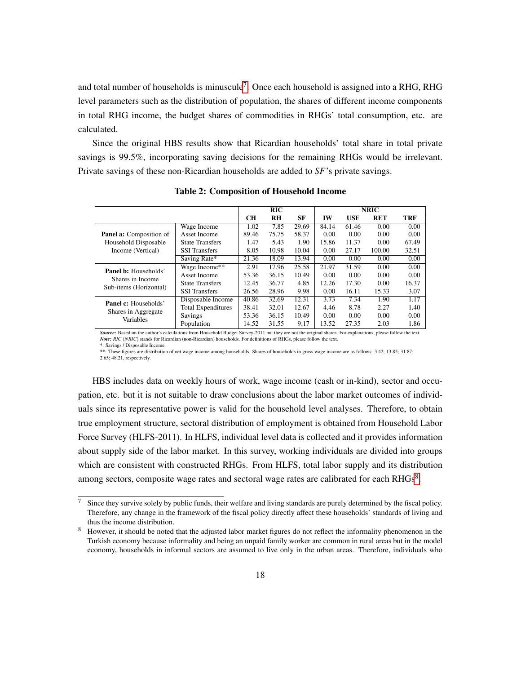and total number of households is minuscule<sup>[7](#page-17-0)</sup>. Once each household is assigned into a RHG, RHG level parameters such as the distribution of population, the shares of different income components in total RHG income, the budget shares of commodities in RHGs' total consumption, etc. are calculated.

Since the original HBS results show that Ricardian households' total share in total private savings is 99.5%, incorporating saving decisions for the remaining RHGs would be irrelevant. Private savings of these non-Ricardian households are added to *SF*'s private savings.

|                                  |                           | <b>NRIC</b><br><b>RIC</b> |       |       |       |            |            |       |
|----------------------------------|---------------------------|---------------------------|-------|-------|-------|------------|------------|-------|
|                                  |                           | <b>CH</b>                 | RH    | SF    | IW    | <b>USF</b> | <b>RET</b> | TRF   |
|                                  | Wage Income               | 1.02                      | 7.85  | 29.69 | 84.14 | 61.46      | 0.00       | 0.00  |
| <b>Panel a:</b> Composition of   | Asset Income              | 89.46                     | 75.75 | 58.37 | 0.00  | 0.00       | 0.00       | 0.00  |
| Household Disposable             | <b>State Transfers</b>    | 1.47                      | 5.43  | 1.90  | 15.86 | 11.37      | 0.00       | 67.49 |
| Income (Vertical)                | <b>SSI</b> Transfers      | 8.05                      | 10.98 | 10.04 | 0.00  | 27.17      | 100.00     | 32.51 |
|                                  | Saving Rate*              | 21.36                     | 18.09 | 13.94 | 0.00  | 0.00       | 0.00       | 0.00  |
| <b>Panel b:</b> Households'      | Wage Income**             | 2.91                      | 17.96 | 25.58 | 21.97 | 31.59      | 0.00       | 0.00  |
| Shares in Income                 | Asset Income              | 53.36                     | 36.15 | 10.49 | 0.00  | 0.00       | 0.00       | 0.00  |
| Sub-items (Horizontal)           | <b>State Transfers</b>    | 12.45                     | 36.77 | 4.85  | 12.26 | 17.30      | 0.00       | 16.37 |
|                                  | <b>SSI</b> Transfers      | 26.56                     | 28.96 | 9.98  | 0.00  | 16.11      | 15.33      | 3.07  |
| <b>Panel c:</b> Households'      | Disposable Income         | 40.86                     | 32.69 | 12.31 | 3.73  | 7.34       | 1.90       | 1.17  |
|                                  | <b>Total Expenditures</b> | 38.41                     | 32.01 | 12.67 | 4.46  | 8.78       | 2.27       | 1.40  |
| Shares in Aggregate<br>Variables | Savings                   | 53.36                     | 36.15 | 10.49 | 0.00  | 0.00       | 0.00       | 0.00  |
|                                  | Population                | 14.52                     | 31.55 | 9.17  | 13.52 | 27.35      | 2.03       | 1.86  |

Table 2: Composition of Household Income

*Source:* Based on the author's calculations from Household Budget Survey-2011 but they are not the original shares. For explanations, please follow the text. *Note: RIC* (*NRIC*) stands for Ricardian (non-Ricardian) households. For definitions of RHGs, please follow the text. *\**: Savings / Disposable Income.

*\*\**: These figures are distribution of net wage income among households. Shares of households in gross wage income are as follows: 3.42; 13.85; 31.87; 2.65; 48.21, respectively.

HBS includes data on weekly hours of work, wage income (cash or in-kind), sector and occupation, etc. but it is not suitable to draw conclusions about the labor market outcomes of individuals since its representative power is valid for the household level analyses. Therefore, to obtain true employment structure, sectoral distribution of employment is obtained from Household Labor Force Survey (HLFS-2011). In HLFS, individual level data is collected and it provides information about supply side of the labor market. In this survey, working individuals are divided into groups which are consistent with constructed RHGs. From HLFS, total labor supply and its distribution among sectors, composite wage rates and sectoral wage rates are calibrated for each RHGs $8$ .

<span id="page-17-0"></span> $\frac{7}{10}$  Since they survive solely by public funds, their welfare and living standards are purely determined by the fiscal policy. Therefore, any change in the framework of the fiscal policy directly affect these households' standards of living and thus the income distribution.

<span id="page-17-1"></span><sup>&</sup>lt;sup>8</sup> However, it should be noted that the adjusted labor market figures do not reflect the informality phenomenon in the Turkish economy because informality and being an unpaid family worker are common in rural areas but in the model economy, households in informal sectors are assumed to live only in the urban areas. Therefore, individuals who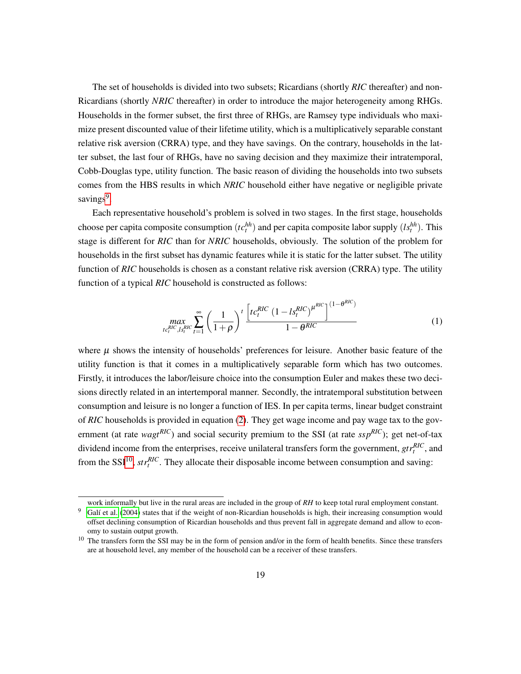The set of households is divided into two subsets; Ricardians (shortly *RIC* thereafter) and non-Ricardians (shortly *NRIC* thereafter) in order to introduce the major heterogeneity among RHGs. Households in the former subset, the first three of RHGs, are Ramsey type individuals who maximize present discounted value of their lifetime utility, which is a multiplicatively separable constant relative risk aversion (CRRA) type, and they have savings. On the contrary, households in the latter subset, the last four of RHGs, have no saving decision and they maximize their intratemporal, Cobb-Douglas type, utility function. The basic reason of dividing the households into two subsets comes from the HBS results in which *NRIC* household either have negative or negligible private savings<sup>[9](#page-18-0)</sup>.

Each representative household's problem is solved in two stages. In the first stage, households choose per capita composite consumption  $(tc_t^{hh})$  and per capita composite labor supply  $(ls_t^{hh})$ . This stage is different for *RIC* than for *NRIC* households, obviously. The solution of the problem for households in the first subset has dynamic features while it is static for the latter subset. The utility function of *RIC* households is chosen as a constant relative risk aversion (CRRA) type. The utility function of a typical *RIC* household is constructed as follows:

$$
\max_{t c_t^{RIC}, t s_t^{RIC}} \sum_{t=1}^{\infty} \left( \frac{1}{1+\rho} \right)^t \frac{\left[ t c_t^{RIC} \left( 1 - t s_t^{RIC} \right)^{\mu^{RIC}} \right]^{(1-\theta^{RIC})}}{1-\theta^{RIC}}
$$
(1)

where  $\mu$  shows the intensity of households' preferences for leisure. Another basic feature of the utility function is that it comes in a multiplicatively separable form which has two outcomes. Firstly, it introduces the labor/leisure choice into the consumption Euler and makes these two decisions directly related in an intertemporal manner. Secondly, the intratemporal substitution between consumption and leisure is no longer a function of IES. In per capita terms, linear budget constraint of *RIC* households is provided in equation [\(2\)](#page-19-0). They get wage income and pay wage tax to the government (at rate *wagtRIC*) and social security premium to the SSI (at rate *sspRIC*); get net-of-tax dividend income from the enterprises, receive unilateral transfers form the government,  $gtr_t^{RIC}$ , and from the SSI<sup>[10](#page-18-1)</sup>,  $str<sub>t</sub><sup>RIC</sup>$ . They allocate their disposable income between consumption and saving:

<span id="page-18-0"></span>work informally but live in the rural areas are included in the group of *RH* to keep total rural employment constant.

 $9$  Galí et al. [\(2004\)](#page-54-12) states that if the weight of non-Ricardian households is high, their increasing consumption would offset declining consumption of Ricardian households and thus prevent fall in aggregate demand and allow to economy to sustain output growth.

<span id="page-18-1"></span> $10$  The transfers form the SSI may be in the form of pension and/or in the form of health benefits. Since these transfers are at household level, any member of the household can be a receiver of these transfers.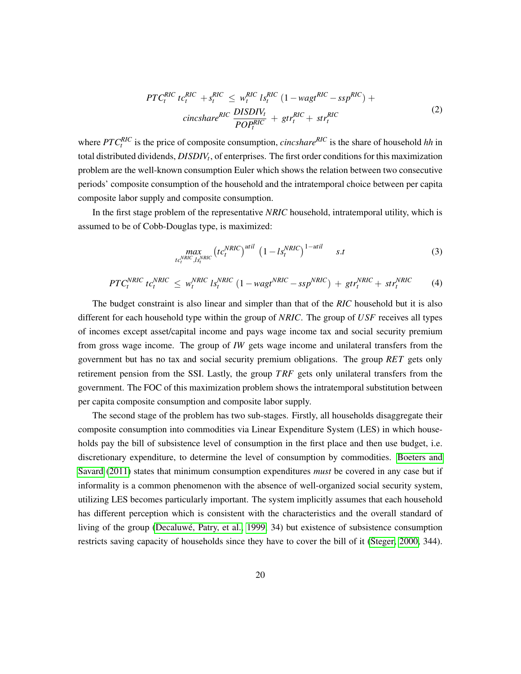<span id="page-19-0"></span>
$$
PTC_t^{RIC}tc_t^{RIC} + s_t^{RIC} \leq w_t^{RIC}ls_t^{RIC} (1 - wagt^{RIC} - ssp^{RIC}) +
$$
  
 
$$
\frac{DISDIV_t}{POP_t^{RIC}} + gt_r^{RIC} + str_t^{RIC}
$$
 (2)

where *PTCRIC t* is the price of composite consumption, *cincshareRIC* is the share of household *hh* in total distributed dividends, *DISDIV<sup>t</sup>* , of enterprises. The first order conditions for this maximization problem are the well-known consumption Euler which shows the relation between two consecutive periods' composite consumption of the household and the intratemporal choice between per capita composite labor supply and composite consumption.

In the first stage problem of the representative *NRIC* household, intratemporal utility, which is assumed to be of Cobb-Douglas type, is maximized:

$$
\max_{tc_t^{NRIC}, l_s^{NRIC}} \left( tc_t^{NRIC} \right)^{util} \left( 1 - ls_t^{NRIC} \right)^{1-util} \qquad s.t
$$

$$
PTC_t^{NRIC}tc_t^{NRIC} \leq w_t^{NRIC}ls_t^{NRIC} (1 - wagt^{NRIC} - ssp^{NRIC}) + gtr_t^{NRIC} + str_t^{NRIC}
$$
 (4)

The budget constraint is also linear and simpler than that of the *RIC* household but it is also different for each household type within the group of *NRIC*. The group of *USF* receives all types of incomes except asset/capital income and pays wage income tax and social security premium from gross wage income. The group of *IW* gets wage income and unilateral transfers from the government but has no tax and social security premium obligations. The group *RET* gets only retirement pension from the SSI. Lastly, the group *T RF* gets only unilateral transfers from the government. The FOC of this maximization problem shows the intratemporal substitution between per capita composite consumption and composite labor supply.

The second stage of the problem has two sub-stages. Firstly, all households disaggregate their composite consumption into commodities via Linear Expenditure System (LES) in which households pay the bill of subsistence level of consumption in the first place and then use budget, i.e. discretionary expenditure, to determine the level of consumption by commodities. [Boeters and](#page-53-11) [Savard](#page-53-11) [\(2011\)](#page-53-11) states that minimum consumption expenditures *must* be covered in any case but if informality is a common phenomenon with the absence of well-organized social security system, utilizing LES becomes particularly important. The system implicitly assumes that each household has different perception which is consistent with the characteristics and the overall standard of living of the group (Decaluwé, Patry, et al., 1999, 34) but existence of subsistence consumption restricts saving capacity of households since they have to cover the bill of it [\(Steger, 2000,](#page-57-8) 344).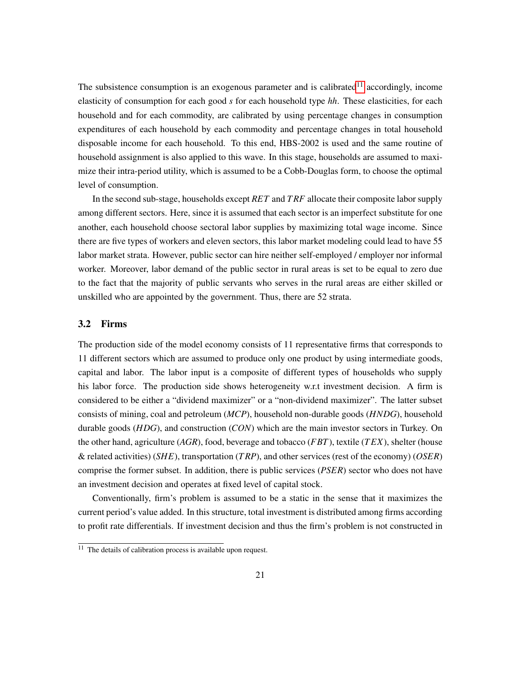The subsistence consumption is an exogenous parameter and is calibrated<sup>[11](#page-20-1)</sup> accordingly, income elasticity of consumption for each good *s* for each household type *hh*. These elasticities, for each household and for each commodity, are calibrated by using percentage changes in consumption expenditures of each household by each commodity and percentage changes in total household disposable income for each household. To this end, HBS-2002 is used and the same routine of household assignment is also applied to this wave. In this stage, households are assumed to maximize their intra-period utility, which is assumed to be a Cobb-Douglas form, to choose the optimal level of consumption.

In the second sub-stage, households except *RET* and *T RF* allocate their composite labor supply among different sectors. Here, since it is assumed that each sector is an imperfect substitute for one another, each household choose sectoral labor supplies by maximizing total wage income. Since there are five types of workers and eleven sectors, this labor market modeling could lead to have 55 labor market strata. However, public sector can hire neither self-employed / employer nor informal worker. Moreover, labor demand of the public sector in rural areas is set to be equal to zero due to the fact that the majority of public servants who serves in the rural areas are either skilled or unskilled who are appointed by the government. Thus, there are 52 strata.

#### <span id="page-20-0"></span>3.2 Firms

The production side of the model economy consists of 11 representative firms that corresponds to 11 different sectors which are assumed to produce only one product by using intermediate goods, capital and labor. The labor input is a composite of different types of households who supply his labor force. The production side shows heterogeneity w.r.t investment decision. A firm is considered to be either a "dividend maximizer" or a "non-dividend maximizer". The latter subset consists of mining, coal and petroleum (*MCP*), household non-durable goods (*HNDG*), household durable goods (*HDG*), and construction (*CON*) which are the main investor sectors in Turkey. On the other hand, agriculture (*AGR*), food, beverage and tobacco (*FBT*), textile (*T EX*), shelter (house & related activities) (*SHE*), transportation (*T RP*), and other services (rest of the economy) (*OSER*) comprise the former subset. In addition, there is public services (*PSER*) sector who does not have an investment decision and operates at fixed level of capital stock.

Conventionally, firm's problem is assumed to be a static in the sense that it maximizes the current period's value added. In this structure, total investment is distributed among firms according to profit rate differentials. If investment decision and thus the firm's problem is not constructed in

<span id="page-20-1"></span> $11$  The details of calibration process is available upon request.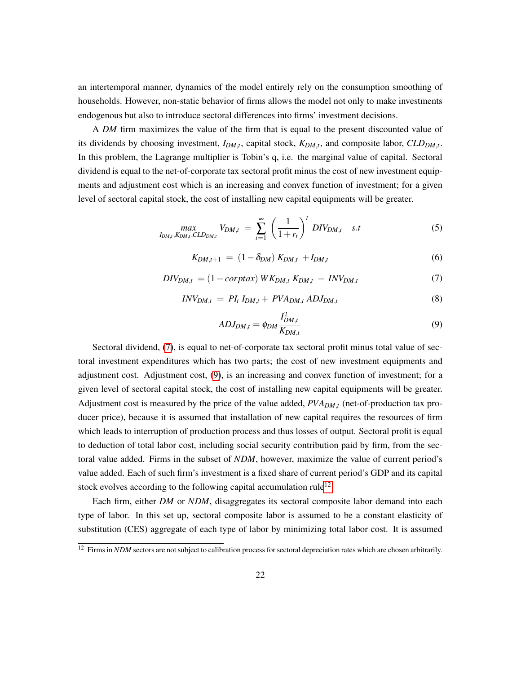an intertemporal manner, dynamics of the model entirely rely on the consumption smoothing of households. However, non-static behavior of firms allows the model not only to make investments endogenous but also to introduce sectoral differences into firms' investment decisions.

A *DM* firm maximizes the value of the firm that is equal to the present discounted value of its dividends by choosing investment, *IDM*,*<sup>t</sup>* , capital stock, *KDM*,*<sup>t</sup>* , and composite labor, *CLDDM*,*<sup>t</sup>* . In this problem, the Lagrange multiplier is Tobin's q, i.e. the marginal value of capital. Sectoral dividend is equal to the net-of-corporate tax sectoral profit minus the cost of new investment equipments and adjustment cost which is an increasing and convex function of investment; for a given level of sectoral capital stock, the cost of installing new capital equipments will be greater.

$$
\max_{I_{DM,t}, K_{DM,t}, CLD_{DM,t}} V_{DM,t} = \sum_{t=1}^{\infty} \left(\frac{1}{1+r_t}\right)^t DIV_{DM,t} \quad s.t
$$
 (5)

$$
K_{DM,t+1} = (1 - \delta_{DM}) K_{DM,t} + I_{DM,t}
$$
 (6)

<span id="page-21-0"></span>
$$
DIV_{DM,t} = (1 - \text{corptax}) \, WK_{DM,t} \, K_{DM,t} - \text{INV}_{DM,t} \tag{7}
$$

$$
INV_{DM,t} = PI_t I_{DM,t} + PVA_{DM,t} ADJ_{DM,t}
$$
\n
$$
(8)
$$

<span id="page-21-1"></span>
$$
ADJ_{DM,t} = \phi_{DM} \frac{I_{DM,t}^2}{K_{DM,t}} \tag{9}
$$

Sectoral dividend, [\(7\)](#page-21-0), is equal to net-of-corporate tax sectoral profit minus total value of sectoral investment expenditures which has two parts; the cost of new investment equipments and adjustment cost. Adjustment cost, [\(9\)](#page-21-1), is an increasing and convex function of investment; for a given level of sectoral capital stock, the cost of installing new capital equipments will be greater. Adjustment cost is measured by the price of the value added, *PVADM*,*<sup>t</sup>* (net-of-production tax producer price), because it is assumed that installation of new capital requires the resources of firm which leads to interruption of production process and thus losses of output. Sectoral profit is equal to deduction of total labor cost, including social security contribution paid by firm, from the sectoral value added. Firms in the subset of *NDM*, however, maximize the value of current period's value added. Each of such firm's investment is a fixed share of current period's GDP and its capital stock evolves according to the following capital accumulation rule<sup>[12](#page-21-2)</sup>.

Each firm, either *DM* or *NDM*, disaggregates its sectoral composite labor demand into each type of labor. In this set up, sectoral composite labor is assumed to be a constant elasticity of substitution (CES) aggregate of each type of labor by minimizing total labor cost. It is assumed

<span id="page-21-2"></span><sup>&</sup>lt;sup>12</sup> Firms in *NDM* sectors are not subject to calibration process for sectoral depreciation rates which are chosen arbitrarily.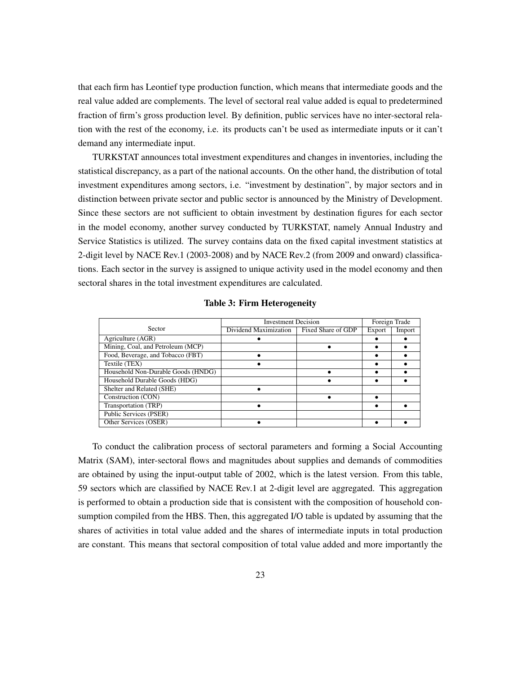that each firm has Leontief type production function, which means that intermediate goods and the real value added are complements. The level of sectoral real value added is equal to predetermined fraction of firm's gross production level. By definition, public services have no inter-sectoral relation with the rest of the economy, i.e. its products can't be used as intermediate inputs or it can't demand any intermediate input.

TURKSTAT announces total investment expenditures and changes in inventories, including the statistical discrepancy, as a part of the national accounts. On the other hand, the distribution of total investment expenditures among sectors, i.e. "investment by destination", by major sectors and in distinction between private sector and public sector is announced by the Ministry of Development. Since these sectors are not sufficient to obtain investment by destination figures for each sector in the model economy, another survey conducted by TURKSTAT, namely Annual Industry and Service Statistics is utilized. The survey contains data on the fixed capital investment statistics at 2-digit level by NACE Rev.1 (2003-2008) and by NACE Rev.2 (from 2009 and onward) classifications. Each sector in the survey is assigned to unique activity used in the model economy and then sectoral shares in the total investment expenditures are calculated.

|                                    | <b>Investment Decision</b> |                    | Foreign Trade |        |
|------------------------------------|----------------------------|--------------------|---------------|--------|
| Sector                             | Dividend Maximization      | Fixed Share of GDP | Export        | Import |
| Agriculture (AGR)                  |                            |                    |               |        |
| Mining, Coal, and Petroleum (MCP)  |                            |                    |               |        |
| Food, Beverage, and Tobacco (FBT)  |                            |                    |               |        |
| Textile (TEX)                      |                            |                    |               |        |
| Household Non-Durable Goods (HNDG) |                            |                    |               |        |
| Household Durable Goods (HDG)      |                            |                    |               |        |
| Shelter and Related (SHE)          |                            |                    |               |        |
| Construction (CON)                 |                            |                    |               |        |
| Transportation (TRP)               |                            |                    |               |        |
| Public Services (PSER)             |                            |                    |               |        |
| Other Services (OSER)              |                            |                    |               |        |

Table 3: Firm Heterogeneity

To conduct the calibration process of sectoral parameters and forming a Social Accounting Matrix (SAM), inter-sectoral flows and magnitudes about supplies and demands of commodities are obtained by using the input-output table of 2002, which is the latest version. From this table, 59 sectors which are classified by NACE Rev.1 at 2-digit level are aggregated. This aggregation is performed to obtain a production side that is consistent with the composition of household consumption compiled from the HBS. Then, this aggregated I/O table is updated by assuming that the shares of activities in total value added and the shares of intermediate inputs in total production are constant. This means that sectoral composition of total value added and more importantly the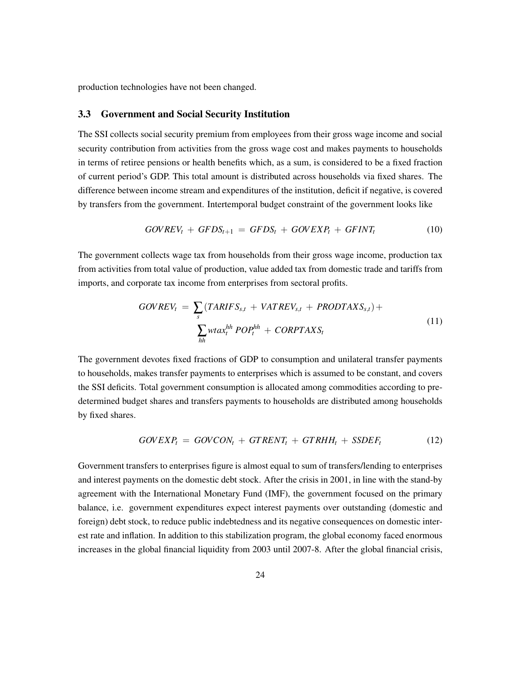production technologies have not been changed.

#### <span id="page-23-0"></span>3.3 Government and Social Security Institution

The SSI collects social security premium from employees from their gross wage income and social security contribution from activities from the gross wage cost and makes payments to households in terms of retiree pensions or health benefits which, as a sum, is considered to be a fixed fraction of current period's GDP. This total amount is distributed across households via fixed shares. The difference between income stream and expenditures of the institution, deficit if negative, is covered by transfers from the government. Intertemporal budget constraint of the government looks like

$$
GOVREV_t + GFDS_{t+1} = GFDS_t + GOVEXP_t + GFINT_t \qquad (10)
$$

The government collects wage tax from households from their gross wage income, production tax from activities from total value of production, value added tax from domestic trade and tariffs from imports, and corporate tax income from enterprises from sectoral profits.

$$
GOVREV_t = \sum_{s} (TARIFS_{s,t} + VATREV_{s,t} + PRODTAXS_{s,t}) + \sum_{hh} wtax_t^{hh} POP_t^{hh} + CORPTAXS_t
$$
\n
$$
(11)
$$

The government devotes fixed fractions of GDP to consumption and unilateral transfer payments to households, makes transfer payments to enterprises which is assumed to be constant, and covers the SSI deficits. Total government consumption is allocated among commodities according to predetermined budget shares and transfers payments to households are distributed among households by fixed shares.

$$
GOVEXPt = GOVCONt + GTRENTt + GTRHHt + SSBEFt
$$
 (12)

Government transfers to enterprises figure is almost equal to sum of transfers/lending to enterprises and interest payments on the domestic debt stock. After the crisis in 2001, in line with the stand-by agreement with the International Monetary Fund (IMF), the government focused on the primary balance, i.e. government expenditures expect interest payments over outstanding (domestic and foreign) debt stock, to reduce public indebtedness and its negative consequences on domestic interest rate and inflation. In addition to this stabilization program, the global economy faced enormous increases in the global financial liquidity from 2003 until 2007-8. After the global financial crisis,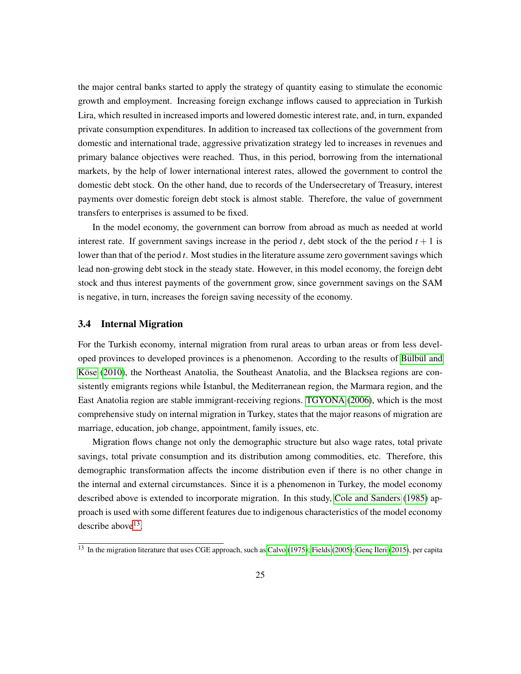the major central banks started to apply the strategy of quantity easing to stimulate the economic growth and employment. Increasing foreign exchange inflows caused to appreciation in Turkish Lira, which resulted in increased imports and lowered domestic interest rate, and, in turn, expanded private consumption expenditures. In addition to increased tax collections of the government from domestic and international trade, aggressive privatization strategy led to increases in revenues and primary balance objectives were reached. Thus, in this period, borrowing from the international markets, by the help of lower international interest rates, allowed the government to control the domestic debt stock. On the other hand, due to records of the Undersecretary of Treasury, interest payments over domestic foreign debt stock is almost stable. Therefore, the value of government transfers to enterprises is assumed to be fixed.

In the model economy, the government can borrow from abroad as much as needed at world interest rate. If government savings increase in the period  $t$ , debt stock of the the period  $t + 1$  is lower than that of the period *t*. Most studies in the literature assume zero government savings which lead non-growing debt stock in the steady state. However, in this model economy, the foreign debt stock and thus interest payments of the government grow, since government savings on the SAM is negative, in turn, increases the foreign saving necessity of the economy.

#### <span id="page-24-0"></span>3.4 Internal Migration

For the Turkish economy, internal migration from rural areas to urban areas or from less developed provinces to developed provinces is a phenomenon. According to the results of Bülbül and Köse [\(2010\)](#page-53-12), the Northeast Anatolia, the Southeast Anatolia, and the Blacksea regions are consistently emigrants regions while Istanbul, the Mediterranean region, the Marmara region, and the East Anatolia region are stable immigrant-receiving regions. [TGYONA](#page-57-9) [\(2006\)](#page-57-9), which is the most comprehensive study on internal migration in Turkey, states that the major reasons of migration are marriage, education, job change, appointment, family issues, etc.

Migration flows change not only the demographic structure but also wage rates, total private savings, total private consumption and its distribution among commodities, etc. Therefore, this demographic transformation affects the income distribution even if there is no other change in the internal and external circumstances. Since it is a phenomenon in Turkey, the model economy described above is extended to incorporate migration. In this study, [Cole and Sanders](#page-54-13) [\(1985\)](#page-54-13) approach is used with some different features due to indigenous characteristics of the model economy describe above<sup>[13](#page-24-1)</sup>.

<span id="page-24-1"></span> $13$  In the migration literature that uses CGE approach, such as [Calvo](#page-53-13) [\(1975\)](#page-53-13); [Fields](#page-54-14) [\(2005\)](#page-54-14); Genc Ileri [\(2015\)](#page-55-8), per capita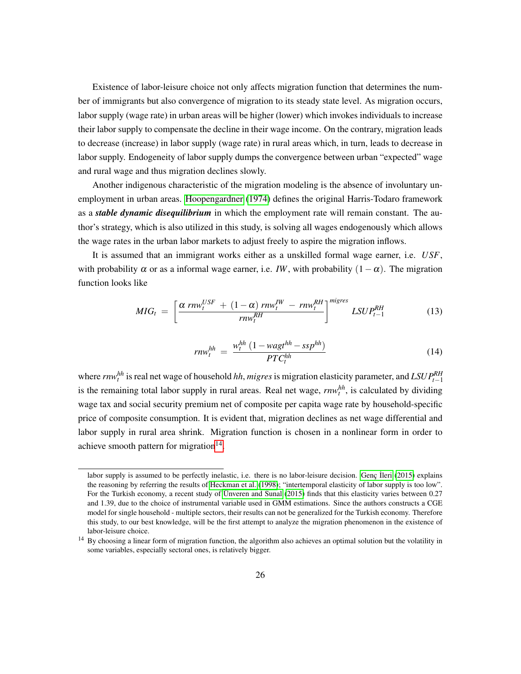Existence of labor-leisure choice not only affects migration function that determines the number of immigrants but also convergence of migration to its steady state level. As migration occurs, labor supply (wage rate) in urban areas will be higher (lower) which invokes individuals to increase their labor supply to compensate the decline in their wage income. On the contrary, migration leads to decrease (increase) in labor supply (wage rate) in rural areas which, in turn, leads to decrease in labor supply. Endogeneity of labor supply dumps the convergence between urban "expected" wage and rural wage and thus migration declines slowly.

Another indigenous characteristic of the migration modeling is the absence of involuntary unemployment in urban areas. [Hoopengardner](#page-55-9) [\(1974\)](#page-55-9) defines the original Harris-Todaro framework as a *stable dynamic disequilibrium* in which the employment rate will remain constant. The author's strategy, which is also utilized in this study, is solving all wages endogenously which allows the wage rates in the urban labor markets to adjust freely to aspire the migration inflows.

It is assumed that an immigrant works either as a unskilled formal wage earner, i.e. *USF*, with probability  $\alpha$  or as a informal wage earner, i.e. *IW*, with probability  $(1-\alpha)$ . The migration function looks like

<span id="page-25-1"></span>
$$
MIG_t = \left[\frac{\alpha \; r n w_t^{USE} + (1 - \alpha) \; r n w_t^{IW} - r n w_t^{RH}}{r n w_t^{RH}}\right]^{migres} L S U P_{t-1}^{RH}
$$
(13)

$$
rnw_t^{hh} = \frac{w_t^{hh} (1 - wagt^{hh} - ssp^{hh})}{PTC_t^{hh}}
$$
\n
$$
(14)
$$

*where rnw<sup>hh</sup>* is real net wage of household *hh*, *migres* is migration elasticity parameter, and *LSUP<sup>RH</sup>*<sub>t−1</sub> is the remaining total labor supply in rural areas. Real net wage, *rnwhh t* , is calculated by dividing wage tax and social security premium net of composite per capita wage rate by household-specific price of composite consumption. It is evident that, migration declines as net wage differential and labor supply in rural area shrink. Migration function is chosen in a nonlinear form in order to achieve smooth pattern for migration $14$ .

labor supply is assumed to be perfectly inelastic, i.e. there is no labor-leisure decision. Genc lleri [\(2015\)](#page-55-8) explains the reasoning by referring the results of [Heckman et al.](#page-55-10) [\(1998\)](#page-55-10); "intertemporal elasticity of labor supply is too low". For the Turkish economy, a recent study of [Unveren and Sunal](#page-57-10) [\(2015\)](#page-57-10) finds that this elasticity varies between 0.27 and 1.39, due to the choice of instrumental variable used in GMM estimations. Since the authors constructs a CGE model for single household - multiple sectors, their results can not be generalized for the Turkish economy. Therefore this study, to our best knowledge, will be the first attempt to analyze the migration phenomenon in the existence of labor-leisure choice.

<span id="page-25-0"></span><sup>&</sup>lt;sup>14</sup> By choosing a linear form of migration function, the algorithm also achieves an optimal solution but the volatility in some variables, especially sectoral ones, is relatively bigger.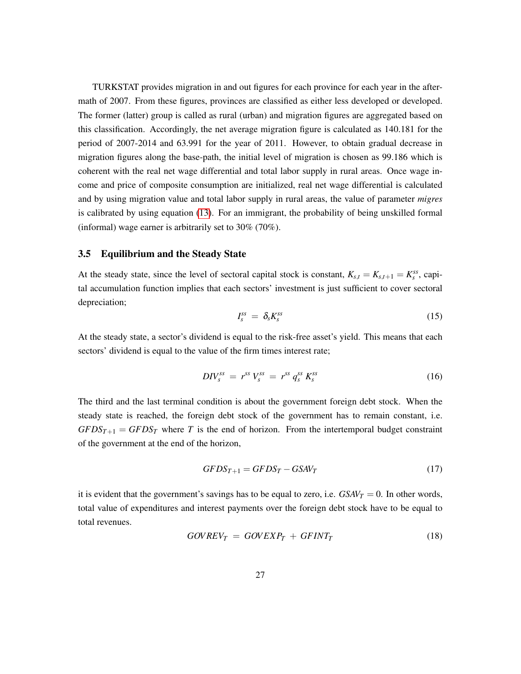TURKSTAT provides migration in and out figures for each province for each year in the aftermath of 2007. From these figures, provinces are classified as either less developed or developed. The former (latter) group is called as rural (urban) and migration figures are aggregated based on this classification. Accordingly, the net average migration figure is calculated as 140.181 for the period of 2007-2014 and 63.991 for the year of 2011. However, to obtain gradual decrease in migration figures along the base-path, the initial level of migration is chosen as 99.186 which is coherent with the real net wage differential and total labor supply in rural areas. Once wage income and price of composite consumption are initialized, real net wage differential is calculated and by using migration value and total labor supply in rural areas, the value of parameter *migres* is calibrated by using equation [\(13\)](#page-25-1). For an immigrant, the probability of being unskilled formal (informal) wage earner is arbitrarily set to 30% (70%).

#### <span id="page-26-0"></span>3.5 Equilibrium and the Steady State

At the steady state, since the level of sectoral capital stock is constant,  $K_{s,t} = K_{s,t+1} = K_s^{ss}$ , capital accumulation function implies that each sectors' investment is just sufficient to cover sectoral depreciation;

$$
I_s^{ss} = \delta_s K_s^{ss} \tag{15}
$$

At the steady state, a sector's dividend is equal to the risk-free asset's yield. This means that each sectors' dividend is equal to the value of the firm times interest rate;

$$
DIV_s^{ss} = r^{ss} V_s^{ss} = r^{ss} q_s^{ss} K_s^{ss}
$$
 (16)

The third and the last terminal condition is about the government foreign debt stock. When the steady state is reached, the foreign debt stock of the government has to remain constant, i.e.  $GFDS<sub>T+1</sub> = GFDS<sub>T</sub>$  where *T* is the end of horizon. From the intertemporal budget constraint of the government at the end of the horizon,

$$
GFDS_{T+1} = GFDS_T - GSAV_T \tag{17}
$$

it is evident that the government's savings has to be equal to zero, i.e.  $GSAV_T = 0$ . In other words, total value of expenditures and interest payments over the foreign debt stock have to be equal to total revenues.

$$
GOVREV_T = GOVEXP_T + GFINT_T \tag{18}
$$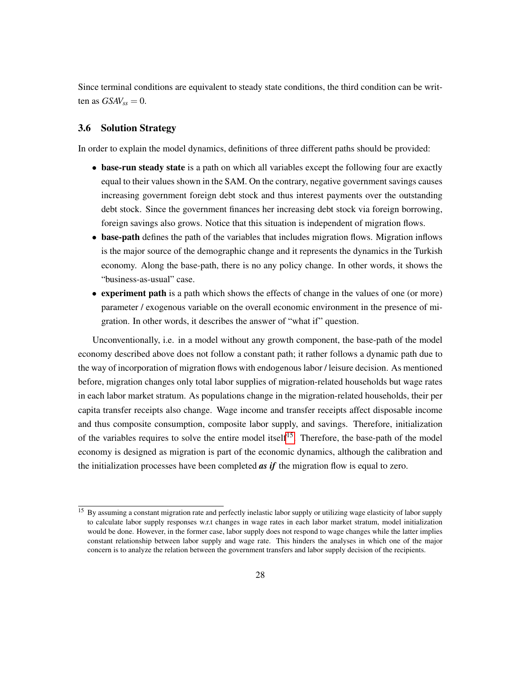Since terminal conditions are equivalent to steady state conditions, the third condition can be written as  $GSAV_{ss} = 0$ .

#### <span id="page-27-0"></span>3.6 Solution Strategy

In order to explain the model dynamics, definitions of three different paths should be provided:

- base-run steady state is a path on which all variables except the following four are exactly equal to their values shown in the SAM. On the contrary, negative government savings causes increasing government foreign debt stock and thus interest payments over the outstanding debt stock. Since the government finances her increasing debt stock via foreign borrowing, foreign savings also grows. Notice that this situation is independent of migration flows.
- base-path defines the path of the variables that includes migration flows. Migration inflows is the major source of the demographic change and it represents the dynamics in the Turkish economy. Along the base-path, there is no any policy change. In other words, it shows the "business-as-usual" case.
- experiment path is a path which shows the effects of change in the values of one (or more) parameter / exogenous variable on the overall economic environment in the presence of migration. In other words, it describes the answer of "what if" question.

Unconventionally, i.e. in a model without any growth component, the base-path of the model economy described above does not follow a constant path; it rather follows a dynamic path due to the way of incorporation of migration flows with endogenous labor / leisure decision. As mentioned before, migration changes only total labor supplies of migration-related households but wage rates in each labor market stratum. As populations change in the migration-related households, their per capita transfer receipts also change. Wage income and transfer receipts affect disposable income and thus composite consumption, composite labor supply, and savings. Therefore, initialization of the variables requires to solve the entire model itself<sup>[15](#page-27-1)</sup>. Therefore, the base-path of the model economy is designed as migration is part of the economic dynamics, although the calibration and the initialization processes have been completed *as if* the migration flow is equal to zero.

<span id="page-27-1"></span><sup>&</sup>lt;sup>15</sup> By assuming a constant migration rate and perfectly inelastic labor supply or utilizing wage elasticity of labor supply to calculate labor supply responses w.r.t changes in wage rates in each labor market stratum, model initialization would be done. However, in the former case, labor supply does not respond to wage changes while the latter implies constant relationship between labor supply and wage rate. This hinders the analyses in which one of the major concern is to analyze the relation between the government transfers and labor supply decision of the recipients.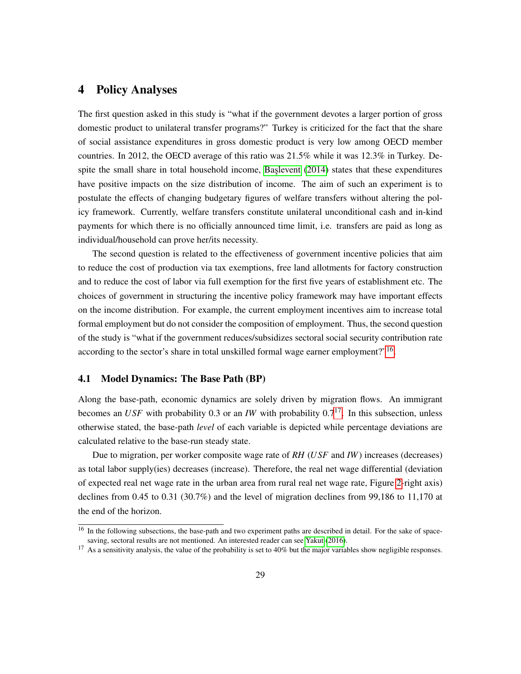### <span id="page-28-0"></span>4 Policy Analyses

The first question asked in this study is "what if the government devotes a larger portion of gross domestic product to unilateral transfer programs?" Turkey is criticized for the fact that the share of social assistance expenditures in gross domestic product is very low among OECD member countries. In 2012, the OECD average of this ratio was 21.5% while it was 12.3% in Turkey. Despite the small share in total household income, Baslevent  $(2014)$  states that these expenditures have positive impacts on the size distribution of income. The aim of such an experiment is to postulate the effects of changing budgetary figures of welfare transfers without altering the policy framework. Currently, welfare transfers constitute unilateral unconditional cash and in-kind payments for which there is no officially announced time limit, i.e. transfers are paid as long as individual/household can prove her/its necessity.

The second question is related to the effectiveness of government incentive policies that aim to reduce the cost of production via tax exemptions, free land allotments for factory construction and to reduce the cost of labor via full exemption for the first five years of establishment etc. The choices of government in structuring the incentive policy framework may have important effects on the income distribution. For example, the current employment incentives aim to increase total formal employment but do not consider the composition of employment. Thus, the second question of the study is "what if the government reduces/subsidizes sectoral social security contribution rate according to the sector's share in total unskilled formal wage earner employment?"<sup>[16](#page-28-2)</sup>.

#### <span id="page-28-1"></span>4.1 Model Dynamics: The Base Path (BP)

Along the base-path, economic dynamics are solely driven by migration flows. An immigrant becomes an *USF* with probability 0.3 or an *IW* with probability 0.7<sup>[17](#page-28-3)</sup>. In this subsection, unless otherwise stated, the base-path *level* of each variable is depicted while percentage deviations are calculated relative to the base-run steady state.

Due to migration, per worker composite wage rate of *RH* (*USF* and *IW*) increases (decreases) as total labor supply(ies) decreases (increase). Therefore, the real net wage differential (deviation of expected real net wage rate in the urban area from rural real net wage rate, Figure [2-](#page-29-0)right axis) declines from 0.45 to 0.31 (30.7%) and the level of migration declines from 99,186 to 11,170 at the end of the horizon.

<span id="page-28-2"></span><sup>&</sup>lt;sup>16</sup> In the following subsections, the base-path and two experiment paths are described in detail. For the sake of spacesaving, sectoral results are not mentioned. An interested reader can see [Yakut](#page-57-11) [\(2016\)](#page-57-11).

<span id="page-28-3"></span> $17$  As a sensitivity analysis, the value of the probability is set to 40% but the major variables show negligible responses.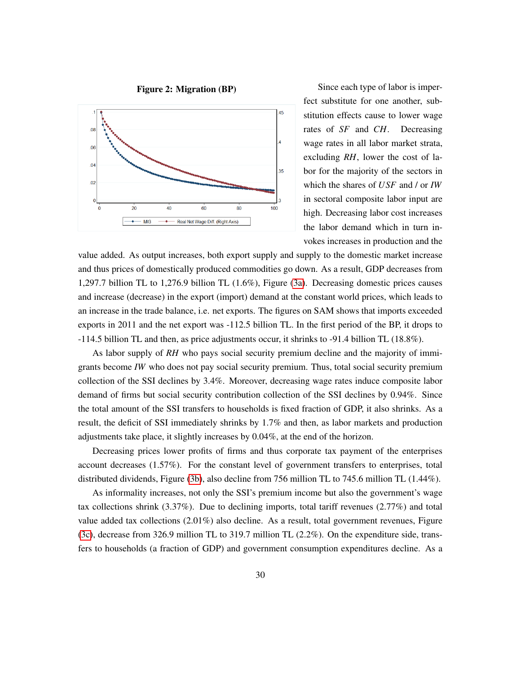

<span id="page-29-0"></span>Figure 2: Migration (BP) Since each type of labor is imperfect substitute for one another, substitution effects cause to lower wage rates of *SF* and *CH*. Decreasing wage rates in all labor market strata, excluding *RH*, lower the cost of labor for the majority of the sectors in which the shares of *USF* and / or *IW* in sectoral composite labor input are high. Decreasing labor cost increases the labor demand which in turn invokes increases in production and the

value added. As output increases, both export supply and supply to the domestic market increase and thus prices of domestically produced commodities go down. As a result, GDP decreases from 1,297.7 billion TL to 1,276.9 billion TL (1.6%), Figure [\(3a\)](#page-30-0). Decreasing domestic prices causes and increase (decrease) in the export (import) demand at the constant world prices, which leads to an increase in the trade balance, i.e. net exports. The figures on SAM shows that imports exceeded exports in 2011 and the net export was -112.5 billion TL. In the first period of the BP, it drops to -114.5 billion TL and then, as price adjustments occur, it shrinks to -91.4 billion TL (18.8%).

As labor supply of *RH* who pays social security premium decline and the majority of immigrants become *IW* who does not pay social security premium. Thus, total social security premium collection of the SSI declines by 3.4%. Moreover, decreasing wage rates induce composite labor demand of firms but social security contribution collection of the SSI declines by 0.94%. Since the total amount of the SSI transfers to households is fixed fraction of GDP, it also shrinks. As a result, the deficit of SSI immediately shrinks by 1.7% and then, as labor markets and production adjustments take place, it slightly increases by 0.04%, at the end of the horizon.

Decreasing prices lower profits of firms and thus corporate tax payment of the enterprises account decreases (1.57%). For the constant level of government transfers to enterprises, total distributed dividends, Figure [\(3b\)](#page-30-0), also decline from 756 million TL to 745.6 million TL (1.44%).

As informality increases, not only the SSI's premium income but also the government's wage tax collections shrink (3.37%). Due to declining imports, total tariff revenues (2.77%) and total value added tax collections (2.01%) also decline. As a result, total government revenues, Figure [\(3c\)](#page-30-0), decrease from 326.9 million TL to 319.7 million TL (2.2%). On the expenditure side, transfers to households (a fraction of GDP) and government consumption expenditures decline. As a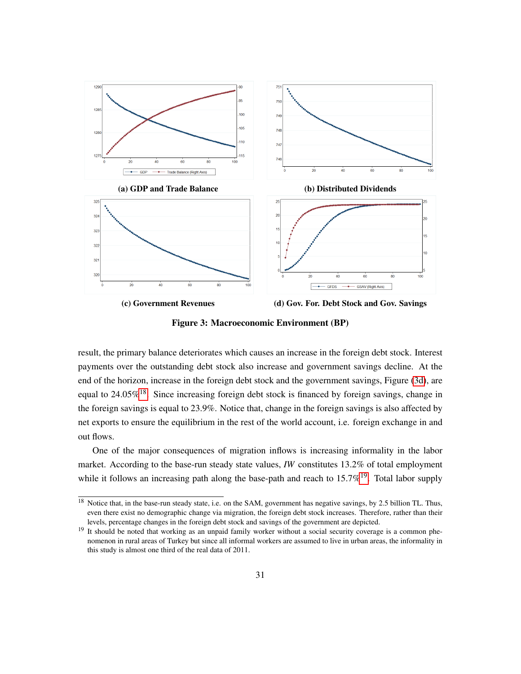<span id="page-30-0"></span>

Figure 3: Macroeconomic Environment (BP)

result, the primary balance deteriorates which causes an increase in the foreign debt stock. Interest payments over the outstanding debt stock also increase and government savings decline. At the end of the horizon, increase in the foreign debt stock and the government savings, Figure [\(3d\)](#page-30-0), are equal to  $24.05\%$ <sup>[18](#page-30-1)</sup>. Since increasing foreign debt stock is financed by foreign savings, change in the foreign savings is equal to 23.9%. Notice that, change in the foreign savings is also affected by net exports to ensure the equilibrium in the rest of the world account, i.e. foreign exchange in and out flows.

One of the major consequences of migration inflows is increasing informality in the labor market. According to the base-run steady state values, *IW* constitutes 13.2% of total employment while it follows an increasing path along the base-path and reach to  $15.7\%^{19}$  $15.7\%^{19}$  $15.7\%^{19}$ . Total labor supply

<span id="page-30-1"></span> $\frac{18}{18}$  Notice that, in the base-run steady state, i.e. on the SAM, government has negative savings, by 2.5 billion TL. Thus, even there exist no demographic change via migration, the foreign debt stock increases. Therefore, rather than their levels, percentage changes in the foreign debt stock and savings of the government are depicted.

<span id="page-30-2"></span><sup>&</sup>lt;sup>19</sup> It should be noted that working as an unpaid family worker without a social security coverage is a common phenomenon in rural areas of Turkey but since all informal workers are assumed to live in urban areas, the informality in this study is almost one third of the real data of 2011.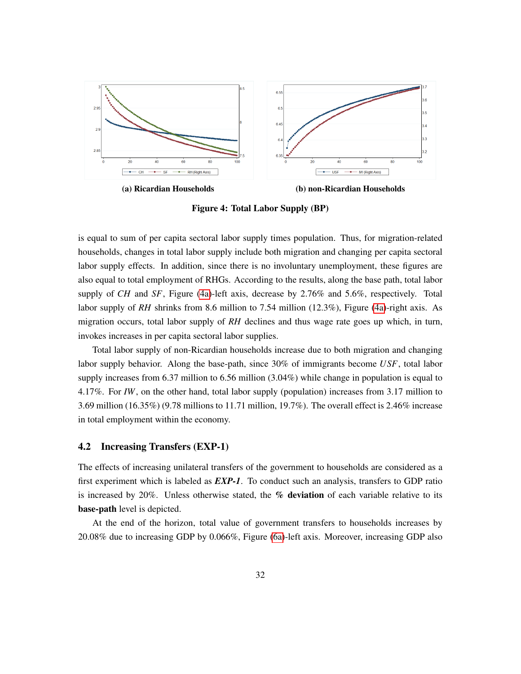<span id="page-31-1"></span>

Figure 4: Total Labor Supply (BP)

is equal to sum of per capita sectoral labor supply times population. Thus, for migration-related households, changes in total labor supply include both migration and changing per capita sectoral labor supply effects. In addition, since there is no involuntary unemployment, these figures are also equal to total employment of RHGs. According to the results, along the base path, total labor supply of *CH* and *SF*, Figure [\(4a\)](#page-31-1)-left axis, decrease by 2.76% and 5.6%, respectively. Total labor supply of *RH* shrinks from 8.6 million to 7.54 million (12.3%), Figure [\(4a\)](#page-31-1)-right axis. As migration occurs, total labor supply of *RH* declines and thus wage rate goes up which, in turn, invokes increases in per capita sectoral labor supplies.

Total labor supply of non-Ricardian households increase due to both migration and changing labor supply behavior. Along the base-path, since 30% of immigrants become *USF*, total labor supply increases from 6.37 million to 6.56 million (3.04%) while change in population is equal to 4.17%. For *IW*, on the other hand, total labor supply (population) increases from 3.17 million to 3.69 million (16.35%) (9.78 millions to 11.71 million, 19.7%). The overall effect is 2.46% increase in total employment within the economy.

#### <span id="page-31-0"></span>4.2 Increasing Transfers (EXP-1)

The effects of increasing unilateral transfers of the government to households are considered as a first experiment which is labeled as *EXP-1*. To conduct such an analysis, transfers to GDP ratio is increased by 20%. Unless otherwise stated, the  $%$  deviation of each variable relative to its base-path level is depicted.

At the end of the horizon, total value of government transfers to households increases by 20.08% due to increasing GDP by 0.066%, Figure [\(6a\)](#page-33-0)-left axis. Moreover, increasing GDP also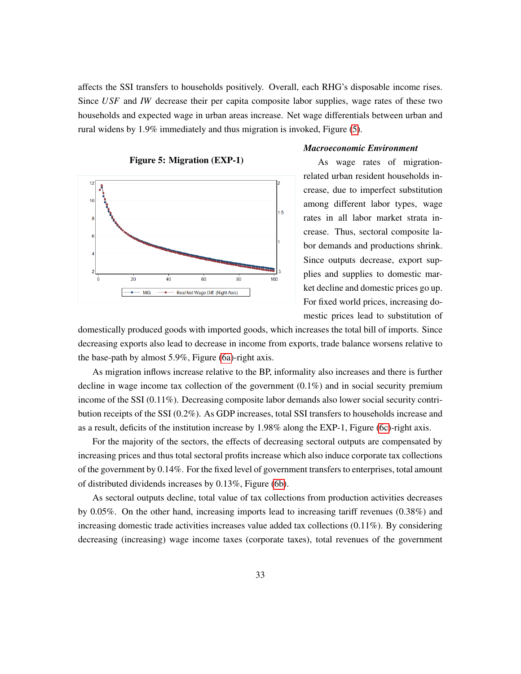affects the SSI transfers to households positively. Overall, each RHG's disposable income rises. Since *USF* and *IW* decrease their per capita composite labor supplies, wage rates of these two households and expected wage in urban areas increase. Net wage differentials between urban and rural widens by 1.9% immediately and thus migration is invoked, Figure [\(5\)](#page-32-0).

<span id="page-32-0"></span>

#### *Macroeconomic Environment*

As wage rates of migrationrelated urban resident households increase, due to imperfect substitution among different labor types, wage rates in all labor market strata increase. Thus, sectoral composite labor demands and productions shrink. Since outputs decrease, export supplies and supplies to domestic market decline and domestic prices go up. For fixed world prices, increasing domestic prices lead to substitution of

domestically produced goods with imported goods, which increases the total bill of imports. Since decreasing exports also lead to decrease in income from exports, trade balance worsens relative to the base-path by almost 5.9%, Figure [\(6a\)](#page-33-0)-right axis.

As migration inflows increase relative to the BP, informality also increases and there is further decline in wage income tax collection of the government (0.1%) and in social security premium income of the SSI (0.11%). Decreasing composite labor demands also lower social security contribution receipts of the SSI (0.2%). As GDP increases, total SSI transfers to households increase and as a result, deficits of the institution increase by 1.98% along the EXP-1, Figure [\(6c\)](#page-33-0)-right axis.

For the majority of the sectors, the effects of decreasing sectoral outputs are compensated by increasing prices and thus total sectoral profits increase which also induce corporate tax collections of the government by 0.14%. For the fixed level of government transfers to enterprises, total amount of distributed dividends increases by 0.13%, Figure [\(6b\)](#page-33-0).

As sectoral outputs decline, total value of tax collections from production activities decreases by 0.05%. On the other hand, increasing imports lead to increasing tariff revenues (0.38%) and increasing domestic trade activities increases value added tax collections (0.11%). By considering decreasing (increasing) wage income taxes (corporate taxes), total revenues of the government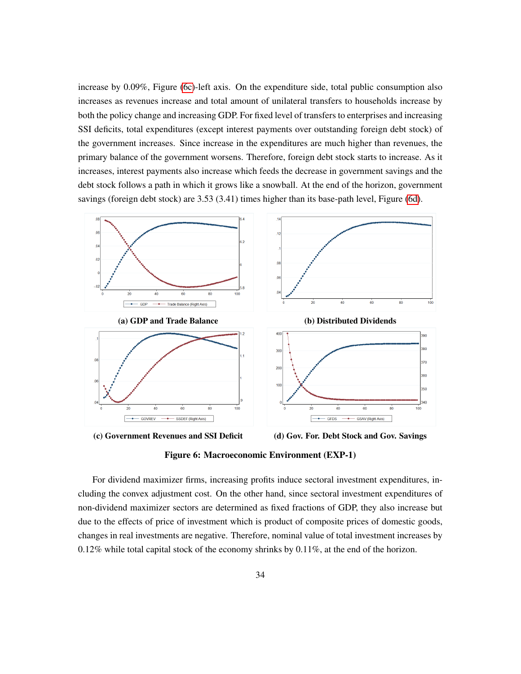increase by 0.09%, Figure [\(6c\)](#page-33-0)-left axis. On the expenditure side, total public consumption also increases as revenues increase and total amount of unilateral transfers to households increase by both the policy change and increasing GDP. For fixed level of transfers to enterprises and increasing SSI deficits, total expenditures (except interest payments over outstanding foreign debt stock) of the government increases. Since increase in the expenditures are much higher than revenues, the primary balance of the government worsens. Therefore, foreign debt stock starts to increase. As it increases, interest payments also increase which feeds the decrease in government savings and the debt stock follows a path in which it grows like a snowball. At the end of the horizon, government savings (foreign debt stock) are 3.53 (3.41) times higher than its base-path level, Figure [\(6d\)](#page-33-0).

<span id="page-33-0"></span>

(c) Government Revenues and SSI Deficit (d) Gov. For. Debt Stock and Gov. Savings



For dividend maximizer firms, increasing profits induce sectoral investment expenditures, including the convex adjustment cost. On the other hand, since sectoral investment expenditures of non-dividend maximizer sectors are determined as fixed fractions of GDP, they also increase but due to the effects of price of investment which is product of composite prices of domestic goods, changes in real investments are negative. Therefore, nominal value of total investment increases by  $0.12\%$  while total capital stock of the economy shrinks by  $0.11\%$ , at the end of the horizon.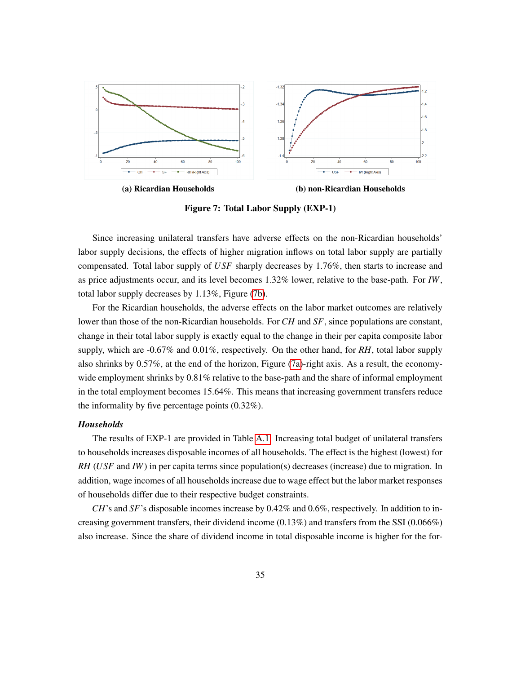<span id="page-34-0"></span>

(a) Ricardian Households (b) non-Ricardian Households

Figure 7: Total Labor Supply (EXP-1)

Since increasing unilateral transfers have adverse effects on the non-Ricardian households' labor supply decisions, the effects of higher migration inflows on total labor supply are partially compensated. Total labor supply of *USF* sharply decreases by 1.76%, then starts to increase and as price adjustments occur, and its level becomes 1.32% lower, relative to the base-path. For *IW*, total labor supply decreases by 1.13%, Figure [\(7b\)](#page-34-0).

For the Ricardian households, the adverse effects on the labor market outcomes are relatively lower than those of the non-Ricardian households. For *CH* and *SF*, since populations are constant, change in their total labor supply is exactly equal to the change in their per capita composite labor supply, which are -0.67% and 0.01%, respectively. On the other hand, for *RH*, total labor supply also shrinks by 0.57%, at the end of the horizon, Figure [\(7a\)](#page-34-0)-right axis. As a result, the economywide employment shrinks by 0.81% relative to the base-path and the share of informal employment in the total employment becomes 15.64%. This means that increasing government transfers reduce the informality by five percentage points (0.32%).

#### *Households*

The results of EXP-1 are provided in Table [A.1.](#page-50-1) Increasing total budget of unilateral transfers to households increases disposable incomes of all households. The effect is the highest (lowest) for *RH* (*USF* and *IW*) in per capita terms since population(s) decreases (increase) due to migration. In addition, wage incomes of all households increase due to wage effect but the labor market responses of households differ due to their respective budget constraints.

*CH*'s and *SF*'s disposable incomes increase by 0.42% and 0.6%, respectively. In addition to increasing government transfers, their dividend income  $(0.13\%)$  and transfers from the SSI  $(0.066\%)$ also increase. Since the share of dividend income in total disposable income is higher for the for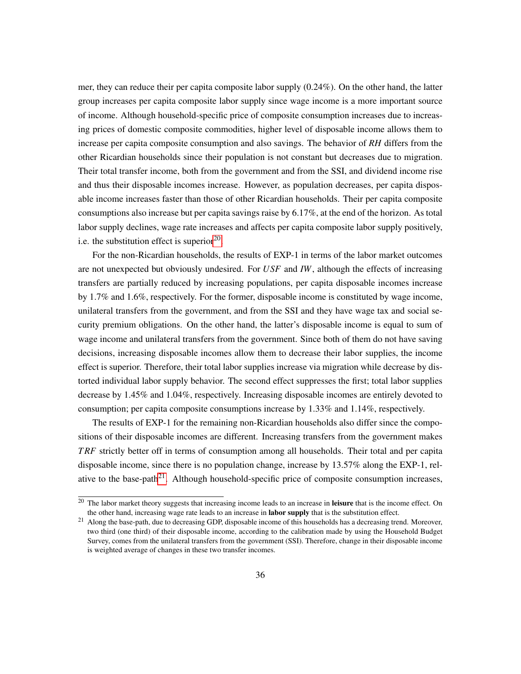mer, they can reduce their per capita composite labor supply (0.24%). On the other hand, the latter group increases per capita composite labor supply since wage income is a more important source of income. Although household-specific price of composite consumption increases due to increasing prices of domestic composite commodities, higher level of disposable income allows them to increase per capita composite consumption and also savings. The behavior of *RH* differs from the other Ricardian households since their population is not constant but decreases due to migration. Their total transfer income, both from the government and from the SSI, and dividend income rise and thus their disposable incomes increase. However, as population decreases, per capita disposable income increases faster than those of other Ricardian households. Their per capita composite consumptions also increase but per capita savings raise by 6.17%, at the end of the horizon. As total labor supply declines, wage rate increases and affects per capita composite labor supply positively, i.e. the substitution effect is superior $20$ .

For the non-Ricardian households, the results of EXP-1 in terms of the labor market outcomes are not unexpected but obviously undesired. For *USF* and *IW*, although the effects of increasing transfers are partially reduced by increasing populations, per capita disposable incomes increase by 1.7% and 1.6%, respectively. For the former, disposable income is constituted by wage income, unilateral transfers from the government, and from the SSI and they have wage tax and social security premium obligations. On the other hand, the latter's disposable income is equal to sum of wage income and unilateral transfers from the government. Since both of them do not have saving decisions, increasing disposable incomes allow them to decrease their labor supplies, the income effect is superior. Therefore, their total labor supplies increase via migration while decrease by distorted individual labor supply behavior. The second effect suppresses the first; total labor supplies decrease by 1.45% and 1.04%, respectively. Increasing disposable incomes are entirely devoted to consumption; per capita composite consumptions increase by 1.33% and 1.14%, respectively.

The results of EXP-1 for the remaining non-Ricardian households also differ since the compositions of their disposable incomes are different. Increasing transfers from the government makes *T RF* strictly better off in terms of consumption among all households. Their total and per capita disposable income, since there is no population change, increase by 13.57% along the EXP-1, rel-ative to the base-path<sup>[21](#page-35-1)</sup>. Although household-specific price of composite consumption increases,

<span id="page-35-0"></span> $20$  The labor market theory suggests that increasing income leads to an increase in leisure that is the income effect. On the other hand, increasing wage rate leads to an increase in labor supply that is the substitution effect.

<span id="page-35-1"></span><sup>&</sup>lt;sup>21</sup> Along the base-path, due to decreasing GDP, disposable income of this households has a decreasing trend. Moreover, two third (one third) of their disposable income, according to the calibration made by using the Household Budget Survey, comes from the unilateral transfers from the government (SSI). Therefore, change in their disposable income is weighted average of changes in these two transfer incomes.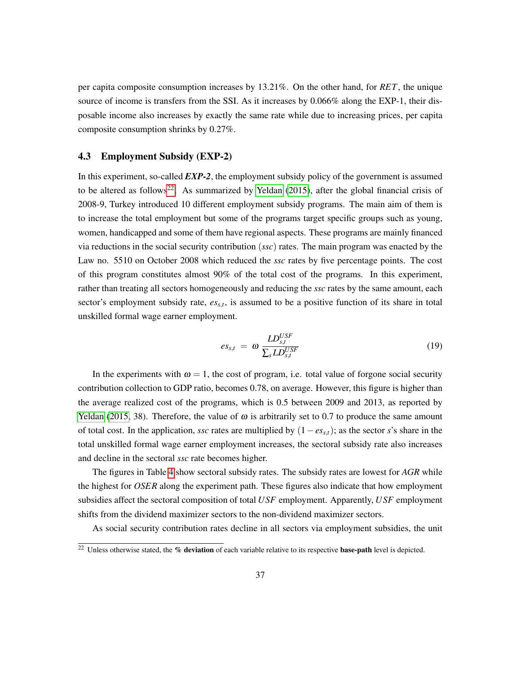per capita composite consumption increases by 13.21%. On the other hand, for *RET*, the unique source of income is transfers from the SSI. As it increases by 0.066% along the EXP-1, their disposable income also increases by exactly the same rate while due to increasing prices, per capita composite consumption shrinks by 0.27%.

#### <span id="page-36-0"></span>4.3 Employment Subsidy (EXP-2)

In this experiment, so-called *EXP-2*, the employment subsidy policy of the government is assumed to be altered as follows<sup>[22](#page-36-1)</sup>. As summarized by [Yeldan](#page-57-12) [\(2015\)](#page-57-12), after the global financial crisis of 2008-9, Turkey introduced 10 different employment subsidy programs. The main aim of them is to increase the total employment but some of the programs target specific groups such as young, women, handicapped and some of them have regional aspects. These programs are mainly financed via reductions in the social security contribution (*ssc*) rates. The main program was enacted by the Law no. 5510 on October 2008 which reduced the *ssc* rates by five percentage points. The cost of this program constitutes almost 90% of the total cost of the programs. In this experiment, rather than treating all sectors homogeneously and reducing the *ssc* rates by the same amount, each sector's employment subsidy rate, *ess*,*<sup>t</sup>* , is assumed to be a positive function of its share in total unskilled formal wage earner employment.

$$
es_{s,t} = \omega \frac{LD_{s,t}^{USE}}{\sum_{s} LD_{s,t}^{USE}} \tag{19}
$$

In the experiments with  $\omega = 1$ , the cost of program, i.e. total value of forgone social security contribution collection to GDP ratio, becomes 0.78, on average. However, this figure is higher than the average realized cost of the programs, which is 0.5 between 2009 and 2013, as reported by [Yeldan](#page-57-12) [\(2015,](#page-57-12) 38). Therefore, the value of  $\omega$  is arbitrarily set to 0.7 to produce the same amount of total cost. In the application, *ssc* rates are multiplied by (1−*ess*,*t*); as the sector *s*'s share in the total unskilled formal wage earner employment increases, the sectoral subsidy rate also increases and decline in the sectoral *ssc* rate becomes higher.

The figures in Table [4](#page-37-0) show sectoral subsidy rates. The subsidy rates are lowest for *AGR* while the highest for *OSER* along the experiment path. These figures also indicate that how employment subsidies affect the sectoral composition of total *USF* employment. Apparently, *USF* employment shifts from the dividend maximizer sectors to the non-dividend maximizer sectors.

As social security contribution rates decline in all sectors via employment subsidies, the unit

<span id="page-36-1"></span><sup>&</sup>lt;sup>22</sup> Unless otherwise stated, the % deviation of each variable relative to its respective base-path level is depicted.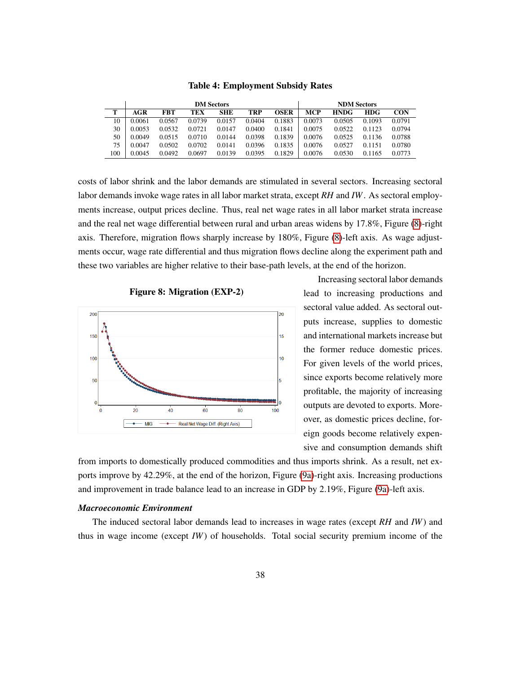<span id="page-37-0"></span>

|     |        |            | <b>DM Sectors</b> |            | <b>NDM</b> Sectors |        |        |             |        |        |
|-----|--------|------------|-------------------|------------|--------------------|--------|--------|-------------|--------|--------|
| т   | AGR    | <b>FBT</b> | TEX               | <b>SHE</b> | TRP                | OSER   | MCP    | <b>HNDG</b> | HDG.   | CON    |
| 10  | 0.0061 | 0.0567     | 0.0739            | 0.0157     | 0.0404             | 0.1883 | 0.0073 | 0.0505      | 0.1093 | 0.0791 |
| 30  | 0.0053 | 0.0532     | 0.0721            | 0.0147     | 0.0400             | 0.1841 | 0.0075 | 0.0522      | 0.1123 | 0.0794 |
| 50  | 0.0049 | 0.0515     | 0.0710            | 0.0144     | 0.0398             | 0.1839 | 0.0076 | 0.0525      | 0.1136 | 0.0788 |
| 75  | 0.0047 | 0.0502     | 0.0702            | 0.0141     | 0.0396             | 0.1835 | 0.0076 | 0.0527      | 0.1151 | 0.0780 |
| 100 | 0.0045 | 0.0492     | 0.0697            | 0.0139     | 0.0395             | 0.1829 | 0.0076 | 0.0530      | 0.1165 | 0.0773 |

Table 4: Employment Subsidy Rates

costs of labor shrink and the labor demands are stimulated in several sectors. Increasing sectoral labor demands invoke wage rates in all labor market strata, except *RH* and *IW*. As sectoral employments increase, output prices decline. Thus, real net wage rates in all labor market strata increase and the real net wage differential between rural and urban areas widens by 17.8%, Figure [\(8\)](#page-37-1)-right axis. Therefore, migration flows sharply increase by 180%, Figure [\(8\)](#page-37-1)-left axis. As wage adjustments occur, wage rate differential and thus migration flows decline along the experiment path and these two variables are higher relative to their base-path levels, at the end of the horizon.

<span id="page-37-1"></span>



Increasing sectoral labor demands lead to increasing productions and sectoral value added. As sectoral outputs increase, supplies to domestic and international markets increase but the former reduce domestic prices. For given levels of the world prices, since exports become relatively more profitable, the majority of increasing outputs are devoted to exports. Moreover, as domestic prices decline, foreign goods become relatively expensive and consumption demands shift

from imports to domestically produced commodities and thus imports shrink. As a result, net exports improve by 42.29%, at the end of the horizon, Figure [\(9a\)](#page-38-0)-right axis. Increasing productions and improvement in trade balance lead to an increase in GDP by 2.19%, Figure [\(9a\)](#page-38-0)-left axis.

#### *Macroeconomic Environment*

The induced sectoral labor demands lead to increases in wage rates (except *RH* and *IW*) and thus in wage income (except *IW*) of households. Total social security premium income of the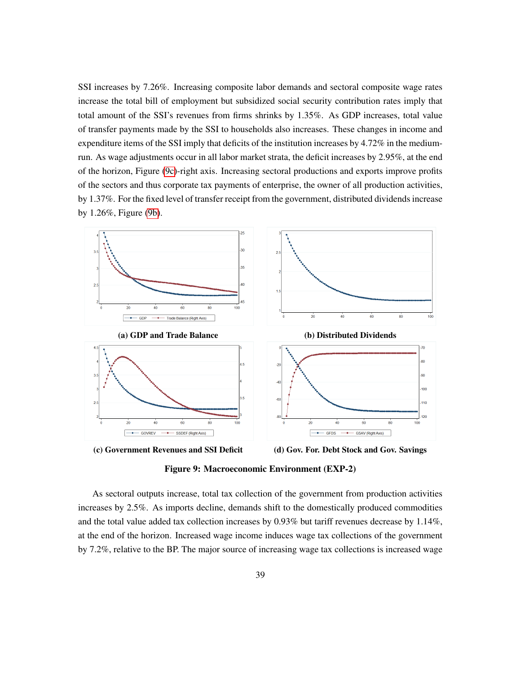SSI increases by 7.26%. Increasing composite labor demands and sectoral composite wage rates increase the total bill of employment but subsidized social security contribution rates imply that total amount of the SSI's revenues from firms shrinks by 1.35%. As GDP increases, total value of transfer payments made by the SSI to households also increases. These changes in income and expenditure items of the SSI imply that deficits of the institution increases by 4.72% in the mediumrun. As wage adjustments occur in all labor market strata, the deficit increases by 2.95%, at the end of the horizon, Figure [\(9c\)](#page-38-0)-right axis. Increasing sectoral productions and exports improve profits of the sectors and thus corporate tax payments of enterprise, the owner of all production activities, by 1.37%. For the fixed level of transfer receipt from the government, distributed dividends increase by 1.26%, Figure [\(9b\)](#page-38-0).

<span id="page-38-0"></span>



Figure 9: Macroeconomic Environment (EXP-2)

As sectoral outputs increase, total tax collection of the government from production activities increases by 2.5%. As imports decline, demands shift to the domestically produced commodities and the total value added tax collection increases by 0.93% but tariff revenues decrease by 1.14%, at the end of the horizon. Increased wage income induces wage tax collections of the government by 7.2%, relative to the BP. The major source of increasing wage tax collections is increased wage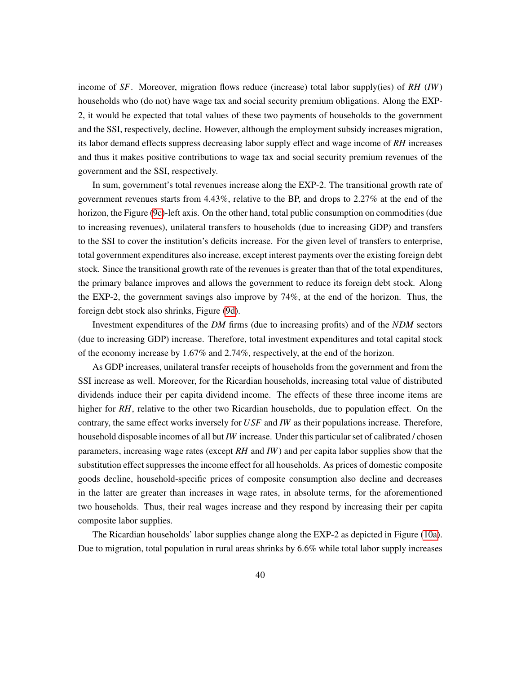income of *SF*. Moreover, migration flows reduce (increase) total labor supply(ies) of *RH* (*IW*) households who (do not) have wage tax and social security premium obligations. Along the EXP-2, it would be expected that total values of these two payments of households to the government and the SSI, respectively, decline. However, although the employment subsidy increases migration, its labor demand effects suppress decreasing labor supply effect and wage income of *RH* increases and thus it makes positive contributions to wage tax and social security premium revenues of the government and the SSI, respectively.

In sum, government's total revenues increase along the EXP-2. The transitional growth rate of government revenues starts from 4.43%, relative to the BP, and drops to 2.27% at the end of the horizon, the Figure [\(9c\)](#page-38-0)-left axis. On the other hand, total public consumption on commodities (due to increasing revenues), unilateral transfers to households (due to increasing GDP) and transfers to the SSI to cover the institution's deficits increase. For the given level of transfers to enterprise, total government expenditures also increase, except interest payments over the existing foreign debt stock. Since the transitional growth rate of the revenues is greater than that of the total expenditures, the primary balance improves and allows the government to reduce its foreign debt stock. Along the EXP-2, the government savings also improve by 74%, at the end of the horizon. Thus, the foreign debt stock also shrinks, Figure [\(9d\)](#page-38-0).

Investment expenditures of the *DM* firms (due to increasing profits) and of the *NDM* sectors (due to increasing GDP) increase. Therefore, total investment expenditures and total capital stock of the economy increase by 1.67% and 2.74%, respectively, at the end of the horizon.

As GDP increases, unilateral transfer receipts of households from the government and from the SSI increase as well. Moreover, for the Ricardian households, increasing total value of distributed dividends induce their per capita dividend income. The effects of these three income items are higher for *RH*, relative to the other two Ricardian households, due to population effect. On the contrary, the same effect works inversely for *USF* and *IW* as their populations increase. Therefore, household disposable incomes of all but *IW* increase. Under this particular set of calibrated / chosen parameters, increasing wage rates (except *RH* and *IW*) and per capita labor supplies show that the substitution effect suppresses the income effect for all households. As prices of domestic composite goods decline, household-specific prices of composite consumption also decline and decreases in the latter are greater than increases in wage rates, in absolute terms, for the aforementioned two households. Thus, their real wages increase and they respond by increasing their per capita composite labor supplies.

The Ricardian households' labor supplies change along the EXP-2 as depicted in Figure [\(10a\)](#page-40-0). Due to migration, total population in rural areas shrinks by 6.6% while total labor supply increases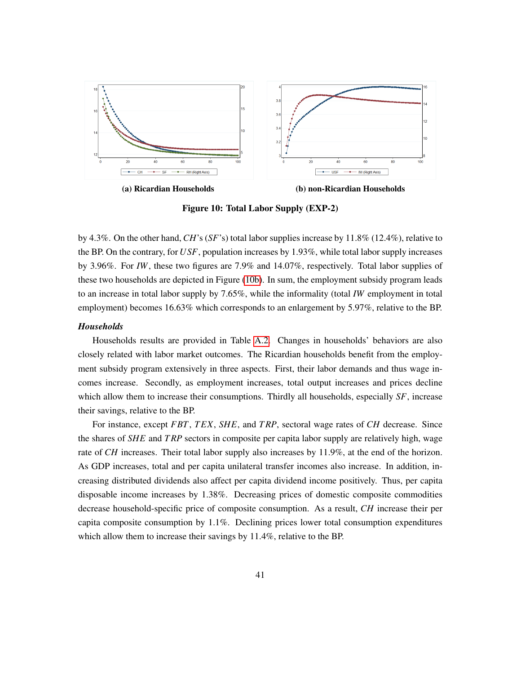<span id="page-40-0"></span>

(a) Ricardian Households (b) non-Ricardian Households

Figure 10: Total Labor Supply (EXP-2)

by 4.3%. On the other hand,*CH*'s (*SF*'s) total labor supplies increase by 11.8% (12.4%), relative to the BP. On the contrary, for *USF*, population increases by 1.93%, while total labor supply increases by 3.96%. For *IW*, these two figures are 7.9% and 14.07%, respectively. Total labor supplies of these two households are depicted in Figure [\(10b\)](#page-40-0). In sum, the employment subsidy program leads to an increase in total labor supply by 7.65%, while the informality (total *IW* employment in total employment) becomes 16.63% which corresponds to an enlargement by 5.97%, relative to the BP.

#### *Households*

Households results are provided in Table [A.2.](#page-51-0) Changes in households' behaviors are also closely related with labor market outcomes. The Ricardian households benefit from the employment subsidy program extensively in three aspects. First, their labor demands and thus wage incomes increase. Secondly, as employment increases, total output increases and prices decline which allow them to increase their consumptions. Thirdly all households, especially *SF*, increase their savings, relative to the BP.

For instance, except *FBT*, *T EX*, *SHE*, and *T RP*, sectoral wage rates of *CH* decrease. Since the shares of *SHE* and *T RP* sectors in composite per capita labor supply are relatively high, wage rate of *CH* increases. Their total labor supply also increases by 11.9%, at the end of the horizon. As GDP increases, total and per capita unilateral transfer incomes also increase. In addition, increasing distributed dividends also affect per capita dividend income positively. Thus, per capita disposable income increases by 1.38%. Decreasing prices of domestic composite commodities decrease household-specific price of composite consumption. As a result, *CH* increase their per capita composite consumption by 1.1%. Declining prices lower total consumption expenditures which allow them to increase their savings by 11.4%, relative to the BP.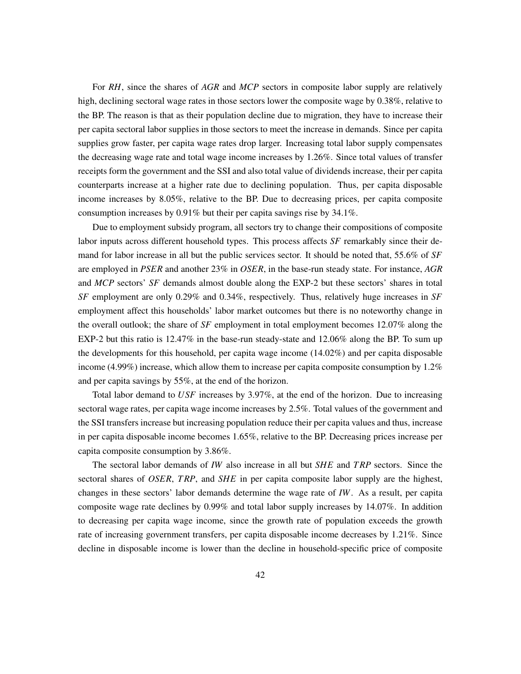For *RH*, since the shares of *AGR* and *MCP* sectors in composite labor supply are relatively high, declining sectoral wage rates in those sectors lower the composite wage by 0.38%, relative to the BP. The reason is that as their population decline due to migration, they have to increase their per capita sectoral labor supplies in those sectors to meet the increase in demands. Since per capita supplies grow faster, per capita wage rates drop larger. Increasing total labor supply compensates the decreasing wage rate and total wage income increases by 1.26%. Since total values of transfer receipts form the government and the SSI and also total value of dividends increase, their per capita counterparts increase at a higher rate due to declining population. Thus, per capita disposable income increases by 8.05%, relative to the BP. Due to decreasing prices, per capita composite consumption increases by 0.91% but their per capita savings rise by 34.1%.

Due to employment subsidy program, all sectors try to change their compositions of composite labor inputs across different household types. This process affects *SF* remarkably since their demand for labor increase in all but the public services sector. It should be noted that, 55.6% of *SF* are employed in *PSER* and another 23% in *OSER*, in the base-run steady state. For instance, *AGR* and *MCP* sectors' *SF* demands almost double along the EXP-2 but these sectors' shares in total *SF* employment are only 0.29% and 0.34%, respectively. Thus, relatively huge increases in *SF* employment affect this households' labor market outcomes but there is no noteworthy change in the overall outlook; the share of *SF* employment in total employment becomes 12.07% along the EXP-2 but this ratio is 12.47% in the base-run steady-state and 12.06% along the BP. To sum up the developments for this household, per capita wage income (14.02%) and per capita disposable income (4.99%) increase, which allow them to increase per capita composite consumption by  $1.2\%$ and per capita savings by 55%, at the end of the horizon.

Total labor demand to *USF* increases by 3.97%, at the end of the horizon. Due to increasing sectoral wage rates, per capita wage income increases by 2.5%. Total values of the government and the SSI transfers increase but increasing population reduce their per capita values and thus, increase in per capita disposable income becomes 1.65%, relative to the BP. Decreasing prices increase per capita composite consumption by 3.86%.

The sectoral labor demands of *IW* also increase in all but *SHE* and *T RP* sectors. Since the sectoral shares of *OSER*, *T RP*, and *SHE* in per capita composite labor supply are the highest, changes in these sectors' labor demands determine the wage rate of *IW*. As a result, per capita composite wage rate declines by 0.99% and total labor supply increases by 14.07%. In addition to decreasing per capita wage income, since the growth rate of population exceeds the growth rate of increasing government transfers, per capita disposable income decreases by 1.21%. Since decline in disposable income is lower than the decline in household-specific price of composite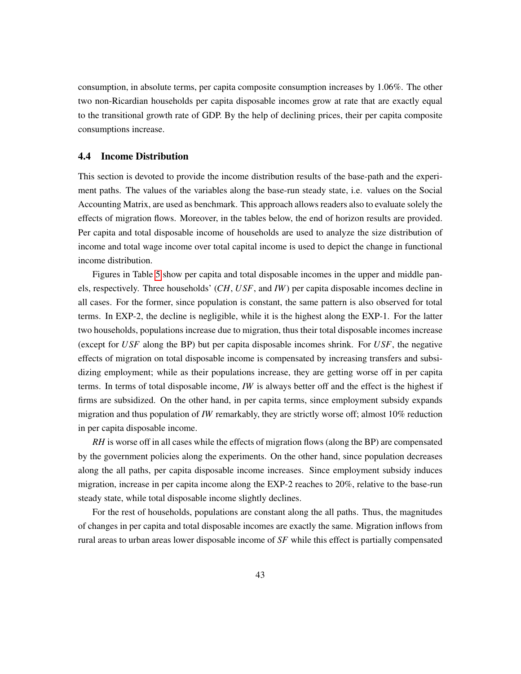consumption, in absolute terms, per capita composite consumption increases by 1.06%. The other two non-Ricardian households per capita disposable incomes grow at rate that are exactly equal to the transitional growth rate of GDP. By the help of declining prices, their per capita composite consumptions increase.

#### <span id="page-42-0"></span>4.4 Income Distribution

This section is devoted to provide the income distribution results of the base-path and the experiment paths. The values of the variables along the base-run steady state, i.e. values on the Social Accounting Matrix, are used as benchmark. This approach allows readers also to evaluate solely the effects of migration flows. Moreover, in the tables below, the end of horizon results are provided. Per capita and total disposable income of households are used to analyze the size distribution of income and total wage income over total capital income is used to depict the change in functional income distribution.

Figures in Table [5](#page-43-0) show per capita and total disposable incomes in the upper and middle panels, respectively. Three households' (*CH*, *USF*, and *IW*) per capita disposable incomes decline in all cases. For the former, since population is constant, the same pattern is also observed for total terms. In EXP-2, the decline is negligible, while it is the highest along the EXP-1. For the latter two households, populations increase due to migration, thus their total disposable incomes increase (except for *USF* along the BP) but per capita disposable incomes shrink. For *USF*, the negative effects of migration on total disposable income is compensated by increasing transfers and subsidizing employment; while as their populations increase, they are getting worse off in per capita terms. In terms of total disposable income, *IW* is always better off and the effect is the highest if firms are subsidized. On the other hand, in per capita terms, since employment subsidy expands migration and thus population of *IW* remarkably, they are strictly worse off; almost 10% reduction in per capita disposable income.

*RH* is worse off in all cases while the effects of migration flows (along the BP) are compensated by the government policies along the experiments. On the other hand, since population decreases along the all paths, per capita disposable income increases. Since employment subsidy induces migration, increase in per capita income along the EXP-2 reaches to 20%, relative to the base-run steady state, while total disposable income slightly declines.

For the rest of households, populations are constant along the all paths. Thus, the magnitudes of changes in per capita and total disposable incomes are exactly the same. Migration inflows from rural areas to urban areas lower disposable income of *SF* while this effect is partially compensated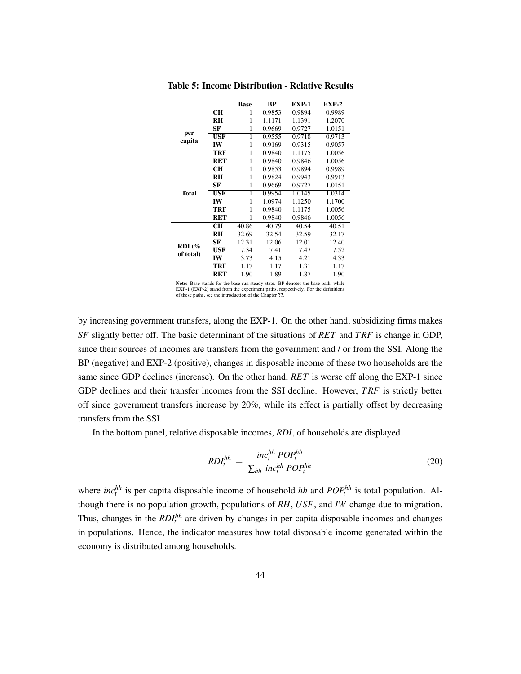|              |                | <b>Base</b>  | BP     | <b>EXP-1</b> | $EXP-2$ |
|--------------|----------------|--------------|--------|--------------|---------|
|              | <b>CH</b>      | 1            | 0.9853 | 0.9894       | 0.9989  |
|              | RH             | 1            | 1.1171 | 1.1391       | 1.2070  |
|              | SF             | 1            | 0.9669 | 0.9727       | 1.0151  |
| per          | <b>USF</b>     | 1            | 0.9555 | 0.9718       | 0.9713  |
| capita       | IW             | 1            | 0.9169 | 0.9315       | 0.9057  |
|              | <b>TRF</b>     | 1            | 0.9840 | 1.1175       | 1.0056  |
|              | <b>RET</b>     | 1            | 0.9840 | 0.9846       | 1.0056  |
|              | <b>CH</b>      | 1            | 0.9853 | 0.9894       | 0.9989  |
|              | <b>RH</b>      | 1            | 0.9824 | 0.9943       | 0.9913  |
|              | SF             | 1            | 0.9669 | 0.9727       | 1.0151  |
| <b>Total</b> | <b>USF</b>     | 1            | 0.9954 | 1.0145       | 1.0314  |
|              | IW             | $\mathbf{1}$ | 1.0974 | 1.1250       | 1.1700  |
|              | TRF            | 1            | 0.9840 | 1.1175       | 1.0056  |
|              | <b>RET</b>     | 1            | 0.9840 | 0.9846       | 1.0056  |
|              | <b>CH</b>      | 40.86        | 40.79  | 40.54        | 40.51   |
|              | R <sub>H</sub> | 32.69        | 32.54  | 32.59        | 32.17   |
| RDI(%        | SF             | 12.31        | 12.06  | 12.01        | 12.40   |
|              | <b>USF</b>     | 7.34         | 7.41   | 7.47         | 7.52    |
| of total)    | IW             | 3.73         | 4.15   | 4.21         | 4.33    |
|              | <b>TRF</b>     | 1.17         | 1.17   | 1.31         | 1.17    |
|              | <b>RET</b>     | 1.90         | 1.89   | 1.87         | 1.90    |

<span id="page-43-0"></span>Table 5: Income Distribution - Relative Results

Note: Base stands for the base-run steady state. BP denotes the base-path, while EXP-1 (EXP-2) stand from the experiment paths, respectively. For the definitions of these paths, see the introduction of the Chapter ??.

by increasing government transfers, along the EXP-1. On the other hand, subsidizing firms makes *SF* slightly better off. The basic determinant of the situations of *RET* and *T RF* is change in GDP, since their sources of incomes are transfers from the government and / or from the SSI. Along the BP (negative) and EXP-2 (positive), changes in disposable income of these two households are the same since GDP declines (increase). On the other hand, *RET* is worse off along the EXP-1 since GDP declines and their transfer incomes from the SSI decline. However, *T RF* is strictly better off since government transfers increase by 20%, while its effect is partially offset by decreasing transfers from the SSI.

In the bottom panel, relative disposable incomes, *RDI*, of households are displayed

$$
RDI_t^{hh} = \frac{inc_t^{hh} POP_t^{hh}}{\sum_{hh} inc_t^{hh} POP_t^{hh}}
$$
 (20)

where  $inc_t^{hh}$  is per capita disposable income of household *hh* and  $POP_t^{hh}$  is total population. Although there is no population growth, populations of *RH*, *USF*, and *IW* change due to migration. Thus, changes in the *RDI*<sup>hh</sup> are driven by changes in per capita disposable incomes and changes in populations. Hence, the indicator measures how total disposable income generated within the economy is distributed among households.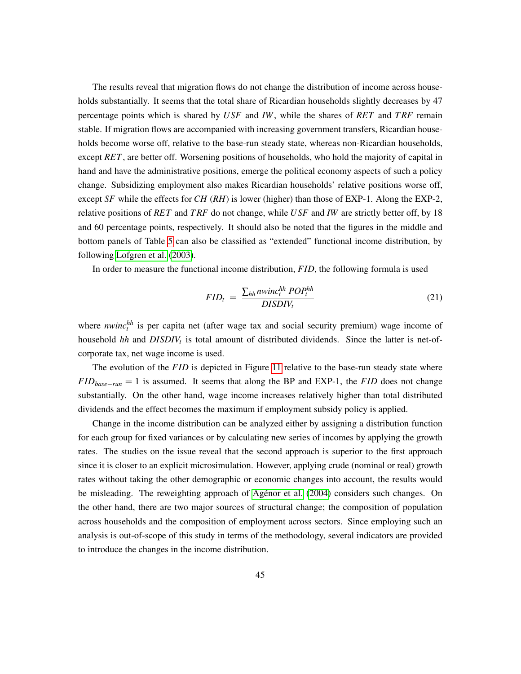The results reveal that migration flows do not change the distribution of income across households substantially. It seems that the total share of Ricardian households slightly decreases by 47 percentage points which is shared by *USF* and *IW*, while the shares of *RET* and *T RF* remain stable. If migration flows are accompanied with increasing government transfers, Ricardian households become worse off, relative to the base-run steady state, whereas non-Ricardian households, except *RET*, are better off. Worsening positions of households, who hold the majority of capital in hand and have the administrative positions, emerge the political economy aspects of such a policy change. Subsidizing employment also makes Ricardian households' relative positions worse off, except *SF* while the effects for *CH* (*RH*) is lower (higher) than those of EXP-1. Along the EXP-2, relative positions of *RET* and *T RF* do not change, while *USF* and *IW* are strictly better off, by 18 and 60 percentage points, respectively. It should also be noted that the figures in the middle and bottom panels of Table [5](#page-43-0) can also be classified as "extended" functional income distribution, by following [Lofgren et al.](#page-56-9) [\(2003\)](#page-56-9).

In order to measure the functional income distribution, *F ID*, the following formula is used

$$
FID_t = \frac{\sum_{hh} n \text{winc}_t^{hh} POP_t^{hh}}{DISDIV_t}
$$
\n(21)

where *nwinc*<sup>hh</sup> is per capita net (after wage tax and social security premium) wage income of household *hh* and *DISDIV<sup>t</sup>* is total amount of distributed dividends. Since the latter is net-ofcorporate tax, net wage income is used.

The evolution of the *FID* is depicted in Figure [11](#page-45-0) relative to the base-run steady state where *FID*<sub>base−run</sub> = 1 is assumed. It seems that along the BP and EXP-1, the *FID* does not change substantially. On the other hand, wage income increases relatively higher than total distributed dividends and the effect becomes the maximum if employment subsidy policy is applied.

Change in the income distribution can be analyzed either by assigning a distribution function for each group for fixed variances or by calculating new series of incomes by applying the growth rates. The studies on the issue reveal that the second approach is superior to the first approach since it is closer to an explicit microsimulation. However, applying crude (nominal or real) growth rates without taking the other demographic or economic changes into account, the results would be misleading. The reweighting approach of Agénor et al. [\(2004\)](#page-52-11) considers such changes. On the other hand, there are two major sources of structural change; the composition of population across households and the composition of employment across sectors. Since employing such an analysis is out-of-scope of this study in terms of the methodology, several indicators are provided to introduce the changes in the income distribution.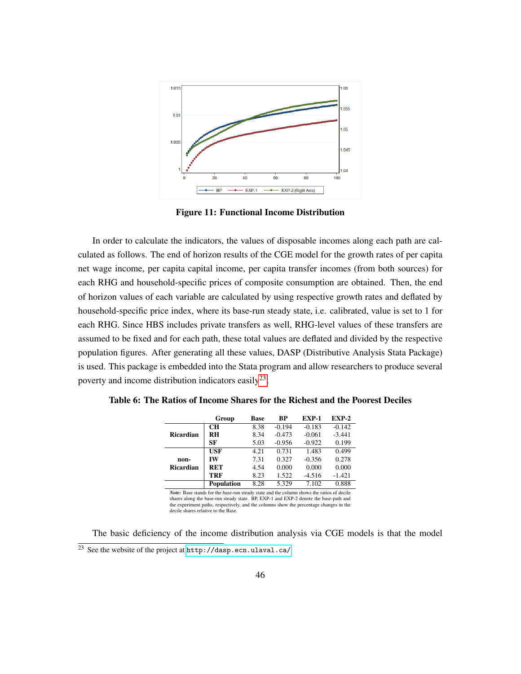<span id="page-45-0"></span>

Figure 11: Functional Income Distribution

In order to calculate the indicators, the values of disposable incomes along each path are calculated as follows. The end of horizon results of the CGE model for the growth rates of per capita net wage income, per capita capital income, per capita transfer incomes (from both sources) for each RHG and household-specific prices of composite consumption are obtained. Then, the end of horizon values of each variable are calculated by using respective growth rates and deflated by household-specific price index, where its base-run steady state, i.e. calibrated, value is set to 1 for each RHG. Since HBS includes private transfers as well, RHG-level values of these transfers are assumed to be fixed and for each path, these total values are deflated and divided by the respective population figures. After generating all these values, DASP (Distributive Analysis Stata Package) is used. This package is embedded into the Stata program and allow researchers to produce several poverty and income distribution indicators easily<sup>[23](#page-45-1)</sup>.

<span id="page-45-2"></span>

|                  | Group             | <b>Base</b> | <b>BP</b> | EXP-1    | $EXP-2$  |
|------------------|-------------------|-------------|-----------|----------|----------|
|                  | CН                | 8.38        | $-0.194$  | $-0.183$ | $-0.142$ |
| <b>Ricardian</b> | <b>RH</b>         | 8.34        | $-0.473$  | $-0.061$ | $-3.441$ |
|                  | SF                | 5.03        | $-0.956$  | $-0.922$ | 0.199    |
|                  | <b>USF</b>        | 4.21        | 0.731     | 1.483    | 0.499    |
| non-             | IW                | 7.31        | 0.327     | $-0.356$ | 0.278    |
| <b>Ricardian</b> | <b>RET</b>        | 4.54        | 0.000     | 0.000    | 0.000    |
|                  | <b>TRF</b>        | 8.23        | 1.522     | $-4.516$ | $-1.421$ |
|                  | <b>Population</b> | 8.28        | 5.329     | 7.102    | 0.888    |

*Note:* Base stands for the base-run steady state and the column shows the ratios of decile shares along the base-run steady state. BP, EXP-1 and EXP-2 denote the base-path and the experiment paths, respectively, and the columns show the percentage changes in the decile shares relative to the Base.

<span id="page-45-1"></span>The basic deficiency of the income distribution analysis via CGE models is that the model <sup>23</sup> See the website of the project at <http://dasp.ecn.ulaval.ca/>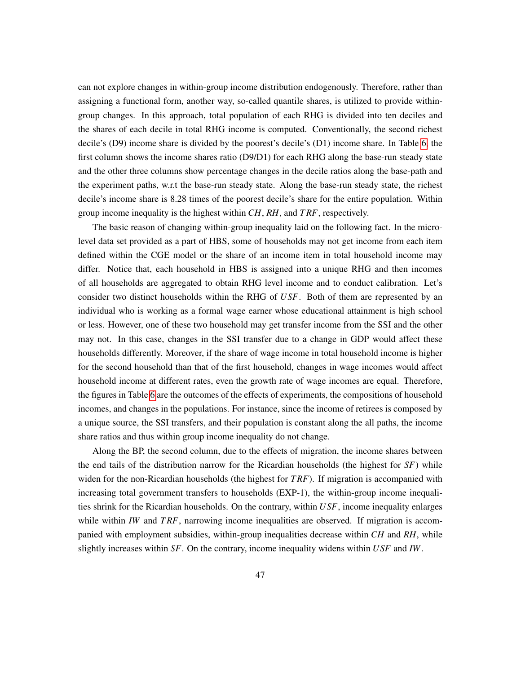can not explore changes in within-group income distribution endogenously. Therefore, rather than assigning a functional form, another way, so-called quantile shares, is utilized to provide withingroup changes. In this approach, total population of each RHG is divided into ten deciles and the shares of each decile in total RHG income is computed. Conventionally, the second richest decile's (D9) income share is divided by the poorest's decile's (D1) income share. In Table [6,](#page-45-2) the first column shows the income shares ratio (D9/D1) for each RHG along the base-run steady state and the other three columns show percentage changes in the decile ratios along the base-path and the experiment paths, w.r.t the base-run steady state. Along the base-run steady state, the richest decile's income share is 8.28 times of the poorest decile's share for the entire population. Within group income inequality is the highest within *CH*, *RH*, and *T RF*, respectively.

The basic reason of changing within-group inequality laid on the following fact. In the microlevel data set provided as a part of HBS, some of households may not get income from each item defined within the CGE model or the share of an income item in total household income may differ. Notice that, each household in HBS is assigned into a unique RHG and then incomes of all households are aggregated to obtain RHG level income and to conduct calibration. Let's consider two distinct households within the RHG of *USF*. Both of them are represented by an individual who is working as a formal wage earner whose educational attainment is high school or less. However, one of these two household may get transfer income from the SSI and the other may not. In this case, changes in the SSI transfer due to a change in GDP would affect these households differently. Moreover, if the share of wage income in total household income is higher for the second household than that of the first household, changes in wage incomes would affect household income at different rates, even the growth rate of wage incomes are equal. Therefore, the figures in Table [6](#page-45-2) are the outcomes of the effects of experiments, the compositions of household incomes, and changes in the populations. For instance, since the income of retirees is composed by a unique source, the SSI transfers, and their population is constant along the all paths, the income share ratios and thus within group income inequality do not change.

Along the BP, the second column, due to the effects of migration, the income shares between the end tails of the distribution narrow for the Ricardian households (the highest for *SF*) while widen for the non-Ricardian households (the highest for *T RF*). If migration is accompanied with increasing total government transfers to households (EXP-1), the within-group income inequalities shrink for the Ricardian households. On the contrary, within *USF*, income inequality enlarges while within *IW* and *TRF*, narrowing income inequalities are observed. If migration is accompanied with employment subsidies, within-group inequalities decrease within *CH* and *RH*, while slightly increases within *SF*. On the contrary, income inequality widens within *USF* and *IW*.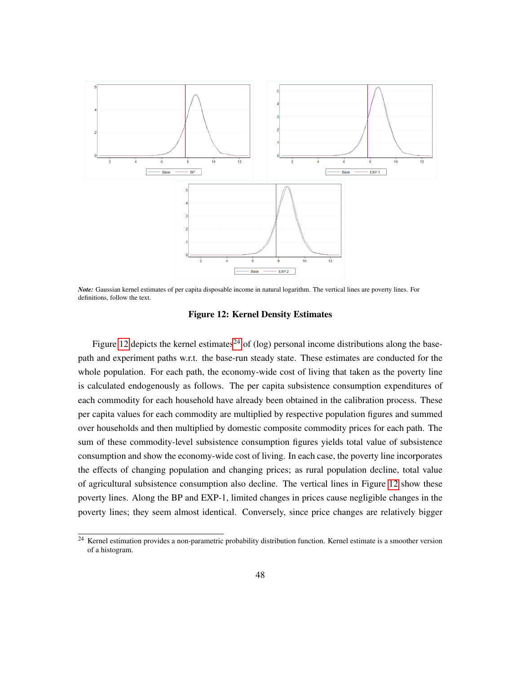<span id="page-47-0"></span>

*Note:* Gaussian kernel estimates of per capita disposable income in natural logarithm. The vertical lines are poverty lines. For definitions, follow the text.

#### Figure 12: Kernel Density Estimates

Figure [12](#page-47-0) depicts the kernel estimates<sup>[24](#page-47-1)</sup> of (log) personal income distributions along the basepath and experiment paths w.r.t. the base-run steady state. These estimates are conducted for the whole population. For each path, the economy-wide cost of living that taken as the poverty line is calculated endogenously as follows. The per capita subsistence consumption expenditures of each commodity for each household have already been obtained in the calibration process. These per capita values for each commodity are multiplied by respective population figures and summed over households and then multiplied by domestic composite commodity prices for each path. The sum of these commodity-level subsistence consumption figures yields total value of subsistence consumption and show the economy-wide cost of living. In each case, the poverty line incorporates the effects of changing population and changing prices; as rural population decline, total value of agricultural subsistence consumption also decline. The vertical lines in Figure [12](#page-47-0) show these poverty lines. Along the BP and EXP-1, limited changes in prices cause negligible changes in the poverty lines; they seem almost identical. Conversely, since price changes are relatively bigger

<span id="page-47-1"></span> $24$  Kernel estimation provides a non-parametric probability distribution function. Kernel estimate is a smoother version of a histogram.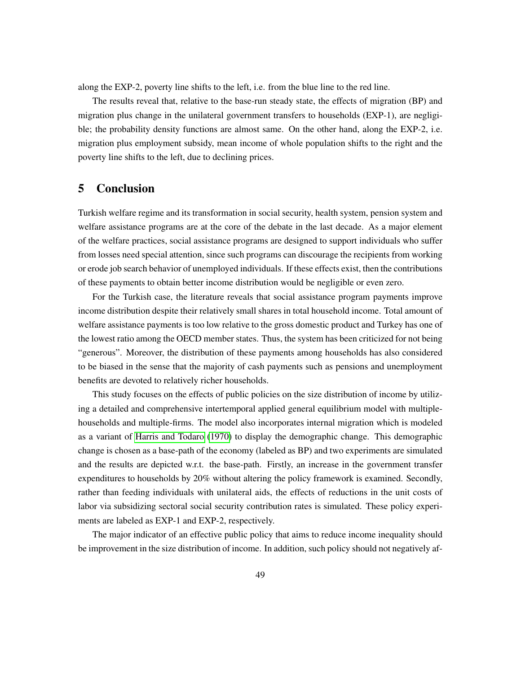along the EXP-2, poverty line shifts to the left, i.e. from the blue line to the red line.

The results reveal that, relative to the base-run steady state, the effects of migration (BP) and migration plus change in the unilateral government transfers to households (EXP-1), are negligible; the probability density functions are almost same. On the other hand, along the EXP-2, i.e. migration plus employment subsidy, mean income of whole population shifts to the right and the poverty line shifts to the left, due to declining prices.

### <span id="page-48-0"></span>5 Conclusion

Turkish welfare regime and its transformation in social security, health system, pension system and welfare assistance programs are at the core of the debate in the last decade. As a major element of the welfare practices, social assistance programs are designed to support individuals who suffer from losses need special attention, since such programs can discourage the recipients from working or erode job search behavior of unemployed individuals. If these effects exist, then the contributions of these payments to obtain better income distribution would be negligible or even zero.

For the Turkish case, the literature reveals that social assistance program payments improve income distribution despite their relatively small shares in total household income. Total amount of welfare assistance payments is too low relative to the gross domestic product and Turkey has one of the lowest ratio among the OECD member states. Thus, the system has been criticized for not being "generous". Moreover, the distribution of these payments among households has also considered to be biased in the sense that the majority of cash payments such as pensions and unemployment benefits are devoted to relatively richer households.

This study focuses on the effects of public policies on the size distribution of income by utilizing a detailed and comprehensive intertemporal applied general equilibrium model with multiplehouseholds and multiple-firms. The model also incorporates internal migration which is modeled as a variant of [Harris and Todaro](#page-55-11) [\(1970\)](#page-55-11) to display the demographic change. This demographic change is chosen as a base-path of the economy (labeled as BP) and two experiments are simulated and the results are depicted w.r.t. the base-path. Firstly, an increase in the government transfer expenditures to households by 20% without altering the policy framework is examined. Secondly, rather than feeding individuals with unilateral aids, the effects of reductions in the unit costs of labor via subsidizing sectoral social security contribution rates is simulated. These policy experiments are labeled as EXP-1 and EXP-2, respectively.

The major indicator of an effective public policy that aims to reduce income inequality should be improvement in the size distribution of income. In addition, such policy should not negatively af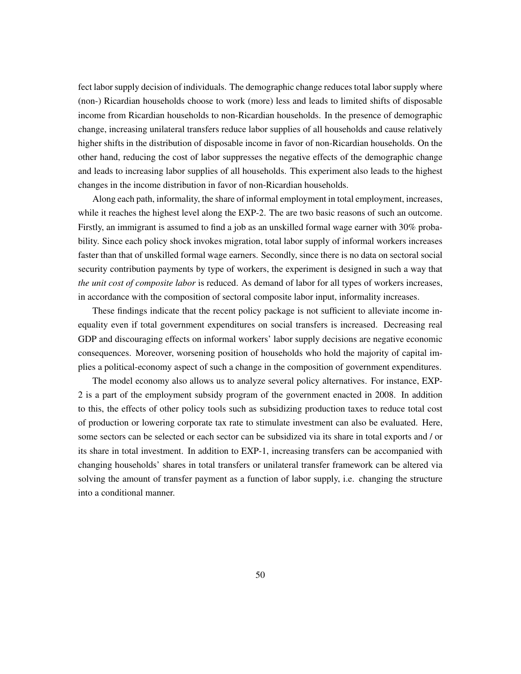fect labor supply decision of individuals. The demographic change reduces total labor supply where (non-) Ricardian households choose to work (more) less and leads to limited shifts of disposable income from Ricardian households to non-Ricardian households. In the presence of demographic change, increasing unilateral transfers reduce labor supplies of all households and cause relatively higher shifts in the distribution of disposable income in favor of non-Ricardian households. On the other hand, reducing the cost of labor suppresses the negative effects of the demographic change and leads to increasing labor supplies of all households. This experiment also leads to the highest changes in the income distribution in favor of non-Ricardian households.

Along each path, informality, the share of informal employment in total employment, increases, while it reaches the highest level along the EXP-2. The are two basic reasons of such an outcome. Firstly, an immigrant is assumed to find a job as an unskilled formal wage earner with 30% probability. Since each policy shock invokes migration, total labor supply of informal workers increases faster than that of unskilled formal wage earners. Secondly, since there is no data on sectoral social security contribution payments by type of workers, the experiment is designed in such a way that *the unit cost of composite labor* is reduced. As demand of labor for all types of workers increases, in accordance with the composition of sectoral composite labor input, informality increases.

These findings indicate that the recent policy package is not sufficient to alleviate income inequality even if total government expenditures on social transfers is increased. Decreasing real GDP and discouraging effects on informal workers' labor supply decisions are negative economic consequences. Moreover, worsening position of households who hold the majority of capital implies a political-economy aspect of such a change in the composition of government expenditures.

The model economy also allows us to analyze several policy alternatives. For instance, EXP-2 is a part of the employment subsidy program of the government enacted in 2008. In addition to this, the effects of other policy tools such as subsidizing production taxes to reduce total cost of production or lowering corporate tax rate to stimulate investment can also be evaluated. Here, some sectors can be selected or each sector can be subsidized via its share in total exports and / or its share in total investment. In addition to EXP-1, increasing transfers can be accompanied with changing households' shares in total transfers or unilateral transfer framework can be altered via solving the amount of transfer payment as a function of labor supply, i.e. changing the structure into a conditional manner.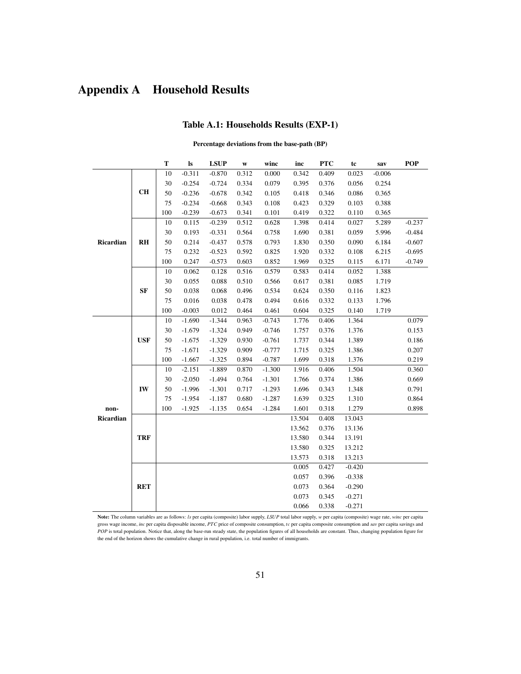## <span id="page-50-1"></span><span id="page-50-0"></span>Appendix A Household Results

#### Table A.1: Households Results (EXP-1)

#### Percentage deviations from the base-path (BP)

|           |                | T   | $\bf ls$ | <b>LSUP</b> | W     | winc     | inc    | <b>PTC</b> | tc       | sav      | <b>POP</b> |
|-----------|----------------|-----|----------|-------------|-------|----------|--------|------------|----------|----------|------------|
|           |                | 10  | $-0.311$ | $-0.870$    | 0.312 | 0.000    | 0.342  | 0.409      | 0.023    | $-0.006$ |            |
|           |                | 30  | $-0.254$ | $-0.724$    | 0.334 | 0.079    | 0.395  | 0.376      | 0.056    | 0.254    |            |
|           | <b>CH</b>      | 50  | $-0.236$ | $-0.678$    | 0.342 | 0.105    | 0.418  | 0.346      | 0.086    | 0.365    |            |
|           |                | 75  | $-0.234$ | $-0.668$    | 0.343 | 0.108    | 0.423  | 0.329      | 0.103    | 0.388    |            |
|           |                | 100 | $-0.239$ | $-0.673$    | 0.341 | 0.101    | 0.419  | 0.322      | 0.110    | 0.365    |            |
|           |                | 10  | 0.115    | $-0.239$    | 0.512 | 0.628    | 1.398  | 0.414      | 0.027    | 5.289    | $-0.237$   |
|           |                | 30  | 0.193    | $-0.331$    | 0.564 | 0.758    | 1.690  | 0.381      | 0.059    | 5.996    | $-0.484$   |
| Ricardian | R <sub>H</sub> | 50  | 0.214    | $-0.437$    | 0.578 | 0.793    | 1.830  | 0.350      | 0.090    | 6.184    | $-0.607$   |
|           |                | 75  | 0.232    | $-0.523$    | 0.592 | 0.825    | 1.920  | 0.332      | 0.108    | 6.215    | $-0.695$   |
|           |                | 100 | 0.247    | $-0.573$    | 0.603 | 0.852    | 1.969  | 0.325      | 0.115    | 6.171    | $-0.749$   |
|           |                | 10  | 0.062    | 0.128       | 0.516 | 0.579    | 0.583  | 0.414      | 0.052    | 1.388    |            |
|           |                | 30  | 0.055    | 0.088       | 0.510 | 0.566    | 0.617  | 0.381      | 0.085    | 1.719    |            |
|           | <b>SF</b>      | 50  | 0.038    | 0.068       | 0.496 | 0.534    | 0.624  | 0.350      | 0.116    | 1.823    |            |
|           |                | 75  | 0.016    | 0.038       | 0.478 | 0.494    | 0.616  | 0.332      | 0.133    | 1.796    |            |
|           |                | 100 | $-0.003$ | 0.012       | 0.464 | 0.461    | 0.604  | 0.325      | 0.140    | 1.719    |            |
|           |                | 10  | $-1.690$ | $-1.344$    | 0.963 | $-0.743$ | 1.776  | 0.406      | 1.364    |          | 0.079      |
|           |                | 30  | $-1.679$ | $-1.324$    | 0.949 | $-0.746$ | 1.757  | 0.376      | 1.376    |          | 0.153      |
|           | <b>USF</b>     | 50  | $-1.675$ | $-1.329$    | 0.930 | $-0.761$ | 1.737  | 0.344      | 1.389    |          | 0.186      |
|           |                | 75  | $-1.671$ | $-1.329$    | 0.909 | $-0.777$ | 1.715  | 0.325      | 1.386    |          | 0.207      |
|           |                | 100 | $-1.667$ | $-1.325$    | 0.894 | $-0.787$ | 1.699  | 0.318      | 1.376    |          | 0.219      |
|           |                | 10  | $-2.151$ | $-1.889$    | 0.870 | $-1.300$ | 1.916  | 0.406      | 1.504    |          | 0.360      |
|           |                | 30  | $-2.050$ | $-1.494$    | 0.764 | $-1.301$ | 1.766  | 0.374      | 1.386    |          | 0.669      |
|           | IW             | 50  | $-1.996$ | $-1.301$    | 0.717 | $-1.293$ | 1.696  | 0.343      | 1.348    |          | 0.791      |
|           |                | 75  | $-1.954$ | $-1.187$    | 0.680 | $-1.287$ | 1.639  | 0.325      | 1.310    |          | 0.864      |
| non-      |                | 100 | $-1.925$ | $-1.135$    | 0.654 | $-1.284$ | 1.601  | 0.318      | 1.279    |          | 0.898      |
| Ricardian |                |     |          |             |       |          | 13.504 | 0.408      | 13.043   |          |            |
|           |                |     |          |             |       |          | 13.562 | 0.376      | 13.136   |          |            |
|           | <b>TRF</b>     |     |          |             |       |          | 13.580 | 0.344      | 13.191   |          |            |
|           |                |     |          |             |       |          | 13.580 | 0.325      | 13.212   |          |            |
|           |                |     |          |             |       |          | 13.573 | 0.318      | 13.213   |          |            |
|           |                |     |          |             |       |          | 0.005  | 0.427      | $-0.420$ |          |            |
|           |                |     |          |             |       |          | 0.057  | 0.396      | $-0.338$ |          |            |
|           | <b>RET</b>     |     |          |             |       |          | 0.073  | 0.364      | $-0.290$ |          |            |
|           |                |     |          |             |       |          | 0.073  | 0.345      | $-0.271$ |          |            |
|           |                |     |          |             |       |          | 0.066  | 0.338      | $-0.271$ |          |            |

Note: The column variables are as follows: *ls* per capita (composite) labor supply, *LSUP* total labor supply, *w* per capita (composite) wage rate, *winc* per capita gross wage income, *inc* per capita disposable income, *PTC* price of composite consumption, *tc* per capita composite consumption and *sav* per capita savings and *POP* is total population. Notice that, along the base-run steady state, the population figures of all households are constant. Thus, changing population figure for the end of the horizon shows the cumulative change in rural population, i.e. total number of immigrants.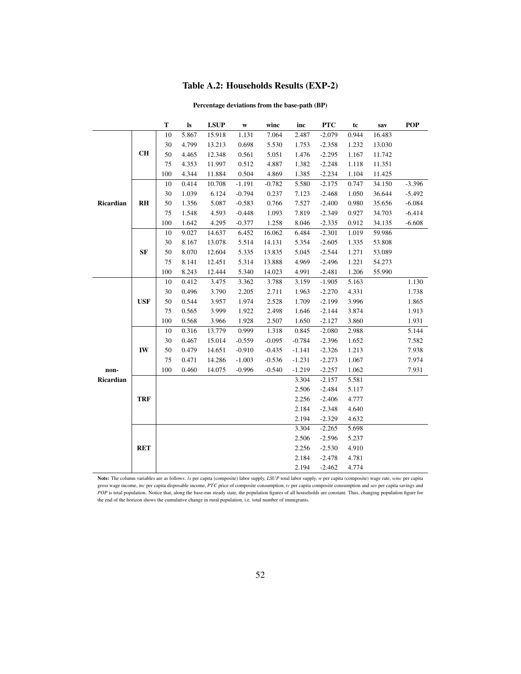### Table A.2: Households Results (EXP-2)

#### Percentage deviations from the base-path (BP)

<span id="page-51-0"></span>

|           |                | T   | ls    | <b>LSUP</b> | W        | winc     | inc      | <b>PTC</b> | tc    | sav    | POP      |
|-----------|----------------|-----|-------|-------------|----------|----------|----------|------------|-------|--------|----------|
|           |                | 10  | 5.867 | 15.918      | 1.131    | 7.064    | 2.487    | $-2.079$   | 0.944 | 16.483 |          |
|           |                | 30  | 4.799 | 13.213      | 0.698    | 5.530    | 1.753    | $-2.358$   | 1.232 | 13.030 |          |
|           | <b>CH</b>      | 50  | 4.465 | 12.348      | 0.561    | 5.051    | 1.476    | $-2.295$   | 1.167 | 11.742 |          |
|           |                | 75  | 4.353 | 11.997      | 0.512    | 4.887    | 1.382    | $-2.248$   | 1.118 | 11.351 |          |
|           |                | 100 | 4.344 | 11.884      | 0.504    | 4.869    | 1.385    | $-2.234$   | 1.104 | 11.425 |          |
|           |                | 10  | 0.414 | 10.708      | $-1.191$ | $-0.782$ | 5.580    | $-2.175$   | 0.747 | 34.150 | $-3.396$ |
|           |                | 30  | 1.039 | 6.124       | $-0.794$ | 0.237    | 7.123    | $-2.468$   | 1.050 | 36.644 | $-5.492$ |
| Ricardian | R <sub>H</sub> | 50  | 1.356 | 5.087       | $-0.583$ | 0.766    | 7.527    | $-2.400$   | 0.980 | 35.656 | $-6.084$ |
|           |                | 75  | 1.548 | 4.593       | $-0.448$ | 1.093    | 7.819    | $-2.349$   | 0.927 | 34.703 | $-6.414$ |
|           |                | 100 | 1.642 | 4.295       | $-0.377$ | 1.258    | 8.046    | $-2.335$   | 0.912 | 34.135 | $-6.608$ |
|           |                | 10  | 9.027 | 14.637      | 6.452    | 16.062   | 6.484    | $-2.301$   | 1.019 | 59.986 |          |
|           |                | 30  | 8.167 | 13.078      | 5.514    | 14.131   | 5.354    | $-2.605$   | 1.335 | 53.808 |          |
|           | <b>SF</b>      | 50  | 8.070 | 12.604      | 5.335    | 13.835   | 5.045    | $-2.544$   | 1.271 | 53.089 |          |
|           |                | 75  | 8.141 | 12.451      | 5.314    | 13.888   | 4.969    | $-2.496$   | 1.221 | 54.273 |          |
|           |                | 100 | 8.243 | 12.444      | 5.340    | 14.023   | 4.991    | $-2.481$   | 1.206 | 55.990 |          |
|           | <b>USF</b>     | 10  | 0.412 | 3.475       | 3.362    | 3.788    | 3.159    | $-1.905$   | 5.163 |        | 1.130    |
|           |                | 30  | 0.496 | 3.790       | 2.205    | 2.711    | 1.963    | $-2.270$   | 4.331 |        | 1.738    |
|           |                | 50  | 0.544 | 3.957       | 1.974    | 2.528    | 1.709    | $-2.199$   | 3.996 |        | 1.865    |
|           |                | 75  | 0.565 | 3.999       | 1.922    | 2.498    | 1.646    | $-2.144$   | 3.874 |        | 1.913    |
|           |                | 100 | 0.568 | 3.966       | 1.928    | 2.507    | 1.650    | $-2.127$   | 3.860 |        | 1.931    |
|           |                | 10  | 0.316 | 13.779      | 0.999    | 1.318    | 0.845    | $-2.080$   | 2.988 |        | 5.144    |
|           |                | 30  | 0.467 | 15.014      | $-0.559$ | $-0.095$ | $-0.784$ | $-2.396$   | 1.652 |        | 7.582    |
|           | IW             | 50  | 0.479 | 14.651      | $-0.910$ | $-0.435$ | $-1.141$ | $-2.326$   | 1.213 |        | 7.938    |
|           |                | 75  | 0.471 | 14.286      | $-1.003$ | $-0.536$ | $-1.231$ | $-2.273$   | 1.067 |        | 7.974    |
| non-      |                | 100 | 0.460 | 14.075      | $-0.996$ | $-0.540$ | $-1.219$ | $-2.257$   | 1.062 |        | 7.931    |
| Ricardian |                |     |       |             |          |          | 3.304    | $-2.157$   | 5.581 |        |          |
|           |                |     |       |             |          |          | 2.506    | $-2.484$   | 5.117 |        |          |
|           | <b>TRF</b>     |     |       |             |          |          | 2.256    | $-2.406$   | 4.777 |        |          |
|           |                |     |       |             |          |          | 2.184    | $-2.348$   | 4.640 |        |          |
|           |                |     |       |             |          |          | 2.194    | $-2.329$   | 4.632 |        |          |
|           |                |     |       |             |          |          | 3.304    | $-2.265$   | 5.698 |        |          |
|           |                |     |       |             |          |          | 2.506    | $-2.596$   | 5.237 |        |          |
|           | <b>RET</b>     |     |       |             |          |          | 2.256    | $-2.530$   | 4.910 |        |          |
|           |                |     |       |             |          |          | 2.184    | $-2.478$   | 4.781 |        |          |
|           |                |     |       |             |          |          | 2.194    | $-2.462$   | 4.774 |        |          |

Note: The column variables are as follows: *ls* per capita (composite) labor supply, *LSUP* total labor supply, *w* per capita (composite) wage rate, *winc* per capita gross wage income, *inc* per capita disposable income, *PTC* price of composite consumption, *tc* per capita composite consumption and *sav* per capita savings and *POP* is total population. Notice that, along the base-run steady state, the population figures of all households are constant. Thus, changing population figure for the end of the horizon shows the cumulative change in rural population, i.e. total number of immigrants.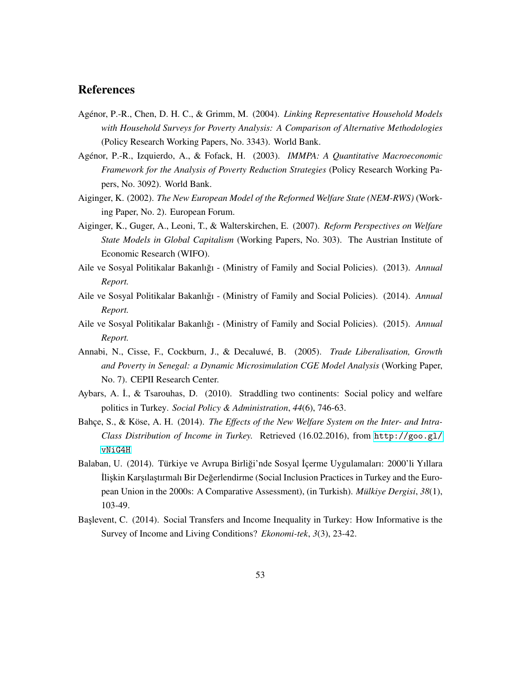### **References**

- <span id="page-52-11"></span>Agénor, P.-R., Chen, D. H. C., & Grimm, M. (2004). *Linking Representative Household Models with Household Surveys for Poverty Analysis: A Comparison of Alternative Methodologies* (Policy Research Working Papers, No. 3343). World Bank.
- <span id="page-52-9"></span>Agenor, P.-R., Izquierdo, A., & Fofack, H. (2003). ´ *IMMPA: A Quantitative Macroeconomic Framework for the Analysis of Poverty Reduction Strategies* (Policy Research Working Papers, No. 3092). World Bank.
- <span id="page-52-0"></span>Aiginger, K. (2002). *The New European Model of the Reformed Welfare State (NEM-RWS)* (Working Paper, No. 2). European Forum.
- <span id="page-52-2"></span>Aiginger, K., Guger, A., Leoni, T., & Walterskirchen, E. (2007). *Reform Perspectives on Welfare State Models in Global Capitalism* (Working Papers, No. 303). The Austrian Institute of Economic Research (WIFO).
- <span id="page-52-5"></span>Aile ve Sosyal Politikalar Bakanlıgı - (Ministry of Family and Social Policies). (2013). ˘ *Annual Report.*
- <span id="page-52-6"></span>Aile ve Sosyal Politikalar Bakanlıgı - (Ministry of Family and Social Policies). (2014). ˘ *Annual Report.*
- <span id="page-52-7"></span>Aile ve Sosyal Politikalar Bakanlıgı - (Ministry of Family and Social Policies). (2015). ˘ *Annual Report.*
- <span id="page-52-8"></span>Annabi, N., Cisse, F., Cockburn, J., & Decaluwe, B. (2005). ´ *Trade Liberalisation, Growth and Poverty in Senegal: a Dynamic Microsimulation CGE Model Analysis* (Working Paper, No. 7). CEPII Research Center.
- <span id="page-52-3"></span>Aybars, A. İ., & Tsarouhas, D. (2010). Straddling two continents: Social policy and welfare politics in Turkey. *Social Policy & Administration*, *44*(6), 746-63.
- <span id="page-52-4"></span>Bahçe, S., & Köse, A. H. (2014). The Effects of the New Welfare System on the Inter- and Intra-*Class Distribution of Income in Turkey.* Retrieved (16.02.2016), from [http://goo.gl/](http://goo.gl/vNiG4H) [vNiG4H](http://goo.gl/vNiG4H)
- <span id="page-52-1"></span>Balaban, U. (2014). Türkiye ve Avrupa Birliği'nde Sosyal İçerme Uygulamaları: 2000'li Yıllara İlişkin Karşılaştırmalı Bir Değerlendirme (Social Inclusion Practices in Turkey and the European Union in the 2000s: A Comparative Assessment), (in Turkish). *Mülkiye Dergisi*, 38(1), 103-49.
- <span id="page-52-10"></span>Baslevent, C. (2014). Social Transfers and Income Inequality in Turkey: How Informative is the Survey of Income and Living Conditions? *Ekonomi-tek*, *3*(3), 23-42.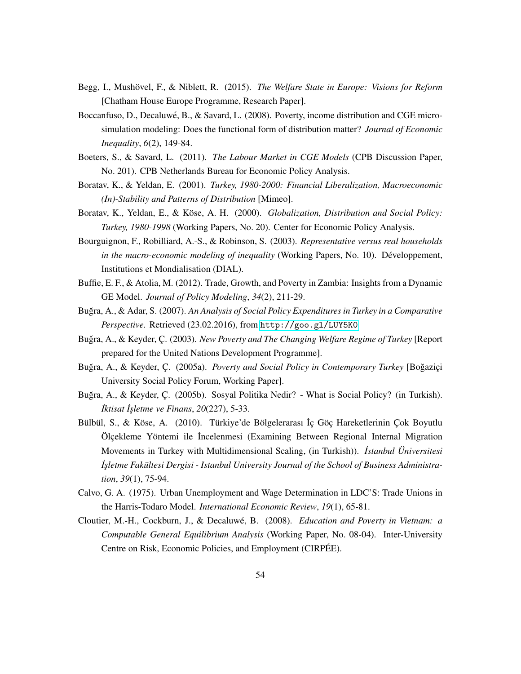- <span id="page-53-1"></span>Begg, I., Mushövel, F., & Niblett, R. (2015). *The Welfare State in Europe: Visions for Reform* [Chatham House Europe Programme, Research Paper].
- <span id="page-53-8"></span>Boccanfuso, D., Decaluwé, B., & Savard, L. (2008). Poverty, income distribution and CGE microsimulation modeling: Does the functional form of distribution matter? *Journal of Economic Inequality*, *6*(2), 149-84.
- <span id="page-53-11"></span>Boeters, S., & Savard, L. (2011). *The Labour Market in CGE Models* (CPB Discussion Paper, No. 201). CPB Netherlands Bureau for Economic Policy Analysis.
- <span id="page-53-10"></span>Boratav, K., & Yeldan, E. (2001). *Turkey, 1980-2000: Financial Liberalization, Macroeconomic (In)-Stability and Patterns of Distribution* [Mimeo].
- <span id="page-53-2"></span>Boratav, K., Yeldan, E., & Köse, A. H. (2000). *Globalization, Distribution and Social Policy: Turkey, 1980-1998* (Working Papers, No. 20). Center for Economic Policy Analysis.
- <span id="page-53-9"></span>Bourguignon, F., Robilliard, A.-S., & Robinson, S. (2003). *Representative versus real households in the macro-economic modeling of inequality* (Working Papers, No. 10). Développement, Institutions et Mondialisation (DIAL).
- <span id="page-53-7"></span>Buffie, E. F., & Atolia, M. (2012). Trade, Growth, and Poverty in Zambia: Insights from a Dynamic GE Model. *Journal of Policy Modeling*, *34*(2), 211-29.
- <span id="page-53-5"></span>Bugra, A., & Adar, S. (2007). An Analysis of Social Policy Expenditures in Turkey in a Comparative *Perspective.* Retrieved (23.02.2016), from <http://goo.gl/LUY5K0>
- <span id="page-53-3"></span>Buğra, A., & Keyder, C. (2003). *New Poverty and The Changing Welfare Regime of Turkey* [Report] prepared for the United Nations Development Programme].
- <span id="page-53-4"></span>Buğra, A., & Keyder, Ç. (2005a). *Poverty and Social Policy in Contemporary Turkey* [Boğaziçi University Social Policy Forum, Working Paper].
- <span id="page-53-0"></span>Buğra, A., & Keyder, C. (2005b). Sosyal Politika Nedir? - What is Social Policy? (in Turkish). *˙Iktisat ˙Is¸letme ve Finans*, *20*(227), 5-33.
- <span id="page-53-12"></span>Bülbül, S., & Köse, A. (2010). Türkiye'de Bölgelerarası İç Göç Hareketlerinin Çok Boyutlu Ölçekleme Yöntemi ile İncelenmesi (Examining Between Regional Internal Migration Movements in Turkey with Multidimensional Scaling, (in Turkish)). *˙Istanbul Universitesi ¨ ˙Is¸letme Fakultesi Dergisi - Istanbul University Journal of the School of Business Administra- ¨ tion*, *39*(1), 75-94.
- <span id="page-53-13"></span>Calvo, G. A. (1975). Urban Unemployment and Wage Determination in LDC'S: Trade Unions in the Harris-Todaro Model. *International Economic Review*, *19*(1), 65-81.
- <span id="page-53-6"></span>Cloutier, M.-H., Cockburn, J., & Decaluwe, B. (2008). ´ *Education and Poverty in Vietnam: a Computable General Equilibrium Analysis* (Working Paper, No. 08-04). Inter-University Centre on Risk, Economic Policies, and Employment (CIRPÉE).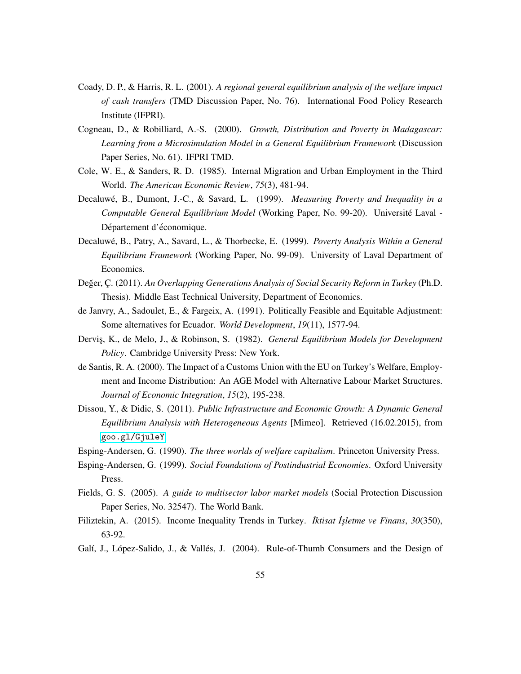- <span id="page-54-10"></span>Coady, D. P., & Harris, R. L. (2001). *A regional general equilibrium analysis of the welfare impact of cash transfers* (TMD Discussion Paper, No. 76). International Food Policy Research Institute (IFPRI).
- <span id="page-54-9"></span>Cogneau, D., & Robilliard, A.-S. (2000). *Growth, Distribution and Poverty in Madagascar: Learning from a Microsimulation Model in a General Equilibrium Framework* (Discussion Paper Series, No. 61). IFPRI TMD.
- <span id="page-54-13"></span>Cole, W. E., & Sanders, R. D. (1985). Internal Migration and Urban Employment in the Third World. *The American Economic Review*, *75*(3), 481-94.
- <span id="page-54-8"></span>Decaluwé, B., Dumont, J.-C., & Savard, L. (1999). *Measuring Poverty and Inequality in a Computable General Equilibrium Model* (Working Paper, No. 99-20). Universite Laval - ´ Département d'économique.
- <span id="page-54-7"></span>Decaluwé, B., Patry, A., Savard, L., & Thorbecke, E. (1999). *Poverty Analysis Within a General Equilibrium Framework* (Working Paper, No. 99-09). University of Laval Department of Economics.
- <span id="page-54-1"></span>Değer, C. (2011). An Overlapping Generations Analysis of Social Security Reform in Turkey (Ph.D. Thesis). Middle East Technical University, Department of Economics.
- <span id="page-54-6"></span>de Janvry, A., Sadoulet, E., & Fargeix, A. (1991). Politically Feasible and Equitable Adjustment: Some alternatives for Ecuador. *World Development*, *19*(11), 1577-94.
- <span id="page-54-5"></span>Dervis¸, K., de Melo, J., & Robinson, S. (1982). *General Equilibrium Models for Development Policy*. Cambridge University Press: New York.
- <span id="page-54-3"></span>de Santis, R. A. (2000). The Impact of a Customs Union with the EU on Turkey's Welfare, Employment and Income Distribution: An AGE Model with Alternative Labour Market Structures. *Journal of Economic Integration*, *15*(2), 195-238.
- <span id="page-54-4"></span>Dissou, Y., & Didic, S. (2011). *Public Infrastructure and Economic Growth: A Dynamic General Equilibrium Analysis with Heterogeneous Agents* [Mimeo]. Retrieved (16.02.2015), from <goo.gl/GjuleY>
- <span id="page-54-2"></span><span id="page-54-0"></span>Esping-Andersen, G. (1990). *The three worlds of welfare capitalism*. Princeton University Press.
- Esping-Andersen, G. (1999). *Social Foundations of Postindustrial Economies*. Oxford University Press.
- <span id="page-54-14"></span>Fields, G. S. (2005). *A guide to multisector labor market models* (Social Protection Discussion Paper Series, No. 32547). The World Bank.
- <span id="page-54-11"></span>Filiztekin, A. (2015). Income Inequality Trends in Turkey. *İktisat İşletme ve Finans*, 30(350), 63-92.
- <span id="page-54-12"></span>Galí, J., López-Salido, J., & Vallés, J. (2004). Rule-of-Thumb Consumers and the Design of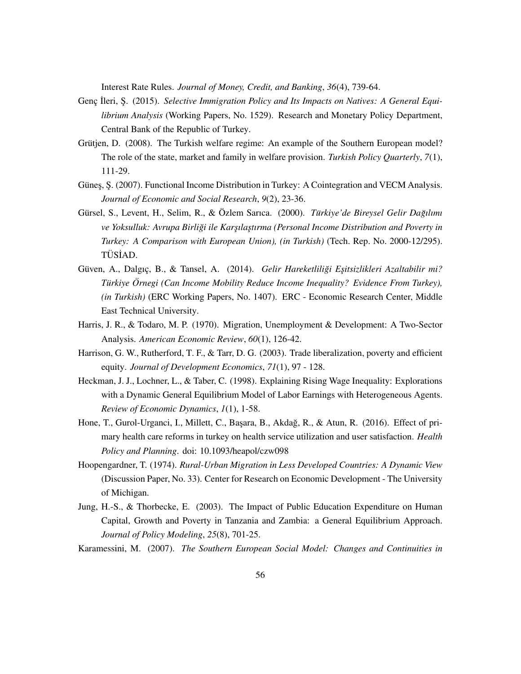Interest Rate Rules. *Journal of Money, Credit, and Banking*, *36*(4), 739-64.

- <span id="page-55-8"></span>Genc Ileri, S. (2015). *Selective Immigration Policy and Its Impacts on Natives: A General Equilibrium Analysis* (Working Papers, No. 1529). Research and Monetary Policy Department, Central Bank of the Republic of Turkey.
- <span id="page-55-0"></span>Grütjen, D. (2008). The Turkish welfare regime: An example of the Southern European model? The role of the state, market and family in welfare provision. *Turkish Policy Quarterly*, *7*(1), 111-29.
- <span id="page-55-6"></span>Güneş, Ş. (2007). Functional Income Distribution in Turkey: A Cointegration and VECM Analysis. *Journal of Economic and Social Research*, *9*(2), 23-36.
- <span id="page-55-5"></span>Gürsel, S., Levent, H., Selim, R., & Özlem Sarıca. (2000). *Türkiye'de Bireysel Gelir Dağılımı* ve Yoksulluk: Avrupa Birliği ile Karşılaştırma (Personal Income Distribution and Poverty in *Turkey: A Comparison with European Union), (in Turkish)* (Tech. Rep. No. 2000-12/295). TÜSİAD.
- <span id="page-55-7"></span>Güven, A., Dalgıç, B., & Tansel, A. (2014). *Gelir Hareketliliği Eşitsizlikleri Azaltabilir mi? Türkiye Örnegi (Can Income Mobility Reduce Income Inequality? Evidence From Turkey), (in Turkish)* (ERC Working Papers, No. 1407). ERC - Economic Research Center, Middle East Technical University.
- <span id="page-55-11"></span>Harris, J. R., & Todaro, M. P. (1970). Migration, Unemployment & Development: A Two-Sector Analysis. *American Economic Review*, *60*(1), 126-42.
- <span id="page-55-3"></span>Harrison, G. W., Rutherford, T. F., & Tarr, D. G. (2003). Trade liberalization, poverty and efficient equity. *Journal of Development Economics*, *71*(1), 97 - 128.
- <span id="page-55-10"></span>Heckman, J. J., Lochner, L., & Taber, C. (1998). Explaining Rising Wage Inequality: Explorations with a Dynamic General Equilibrium Model of Labor Earnings with Heterogeneous Agents. *Review of Economic Dynamics*, *1*(1), 1-58.
- <span id="page-55-1"></span>Hone, T., Gurol-Urganci, I., Millett, C., Başara, B., Akdağ, R., & Atun, R. (2016). Effect of primary health care reforms in turkey on health service utilization and user satisfaction. *Health Policy and Planning*. doi: 10.1093/heapol/czw098
- <span id="page-55-9"></span>Hoopengardner, T. (1974). *Rural-Urban Migration in Less Developed Countries: A Dynamic View* (Discussion Paper, No. 33). Center for Research on Economic Development - The University of Michigan.
- <span id="page-55-4"></span>Jung, H.-S., & Thorbecke, E. (2003). The Impact of Public Education Expenditure on Human Capital, Growth and Poverty in Tanzania and Zambia: a General Equilibrium Approach. *Journal of Policy Modeling*, *25*(8), 701-25.
- <span id="page-55-2"></span>Karamessini, M. (2007). *The Southern European Social Model: Changes and Continuities in*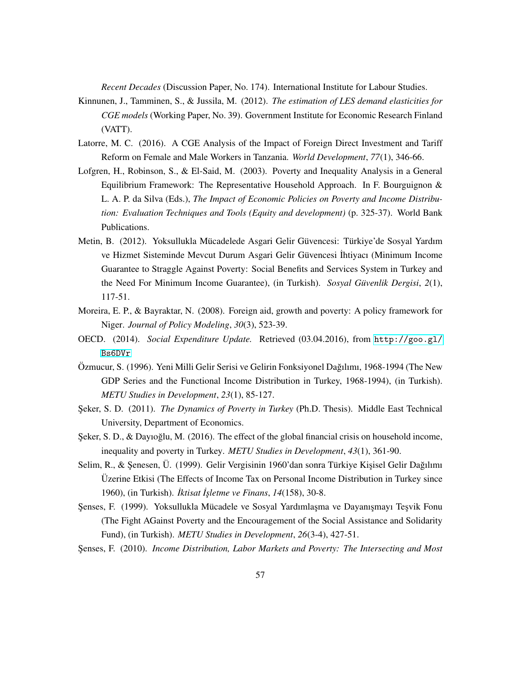*Recent Decades* (Discussion Paper, No. 174). International Institute for Labour Studies.

- Kinnunen, J., Tamminen, S., & Jussila, M. (2012). *The estimation of LES demand elasticities for CGE models* (Working Paper, No. 39). Government Institute for Economic Research Finland (VATT).
- <span id="page-56-5"></span>Latorre, M. C. (2016). A CGE Analysis of the Impact of Foreign Direct Investment and Tariff Reform on Female and Male Workers in Tanzania. *World Development*, *77*(1), 346-66.
- <span id="page-56-9"></span>Lofgren, H., Robinson, S., & El-Said, M. (2003). Poverty and Inequality Analysis in a General Equilibrium Framework: The Representative Household Approach. In F. Bourguignon & L. A. P. da Silva (Eds.), *The Impact of Economic Policies on Poverty and Income Distribution: Evaluation Techniques and Tools (Equity and development)* (p. 325-37). World Bank Publications.
- <span id="page-56-1"></span>Metin, B. (2012). Yoksullukla Mücadelede Asgari Gelir Güvencesi: Türkiye'de Sosyal Yardım ve Hizmet Sisteminde Mevcut Durum Asgari Gelir Güvencesi İhtiyacı (Minimum Income Guarantee to Straggle Against Poverty: Social Benefits and Services System in Turkey and the Need For Minimum Income Guarantee), (in Turkish). *Sosyal Güvenlik Dergisi*, 2(1), 117-51.
- Moreira, E. P., & Bayraktar, N. (2008). Foreign aid, growth and poverty: A policy framework for Niger. *Journal of Policy Modeling*, *30*(3), 523-39.
- <span id="page-56-4"></span>OECD. (2014). *Social Expenditure Update.* Retrieved (03.04.2016), from [http://goo.gl/](http://goo.gl/Bs6DVr) [Bs6DVr](http://goo.gl/Bs6DVr)
- <span id="page-56-6"></span>Özmucur, S. (1996). Yeni Milli Gelir Serisi ve Gelirin Fonksiyonel Dağılımı, 1968-1994 (The New GDP Series and the Functional Income Distribution in Turkey, 1968-1994), (in Turkish). *METU Studies in Development*, *23*(1), 85-127.
- <span id="page-56-0"></span>Seker, S. D. (2011). *The Dynamics of Poverty in Turkey* (Ph.D. Thesis). Middle East Technical University, Department of Economics.
- <span id="page-56-8"></span>Seker, S. D., & Dayıoğlu, M. (2016). The effect of the global financial crisis on household income, inequality and poverty in Turkey. *METU Studies in Development*, *43*(1), 361-90.
- <span id="page-56-7"></span>Selim, R., & Senesen, Ü. (1999). Gelir Vergisinin 1960'dan sonra Türkiye Kisisel Gelir Dağılımı Uzerine Etkisi (The Effects of Income Tax on Personal Income Distribution in Turkey since ¨ 1960), (in Turkish). *˙Iktisat ˙Is¸letme ve Finans*, *14*(158), 30-8.
- <span id="page-56-2"></span>Şenses, F. (1999). Yoksullukla Mücadele ve Sosyal Yardımlaşma ve Dayanışmayı Teşvik Fonu (The Fight AGainst Poverty and the Encouragement of the Social Assistance and Solidarity Fund), (in Turkish). *METU Studies in Development*, *26*(3-4), 427-51.
- <span id="page-56-3"></span>S¸ enses, F. (2010). *Income Distribution, Labor Markets and Poverty: The Intersecting and Most*